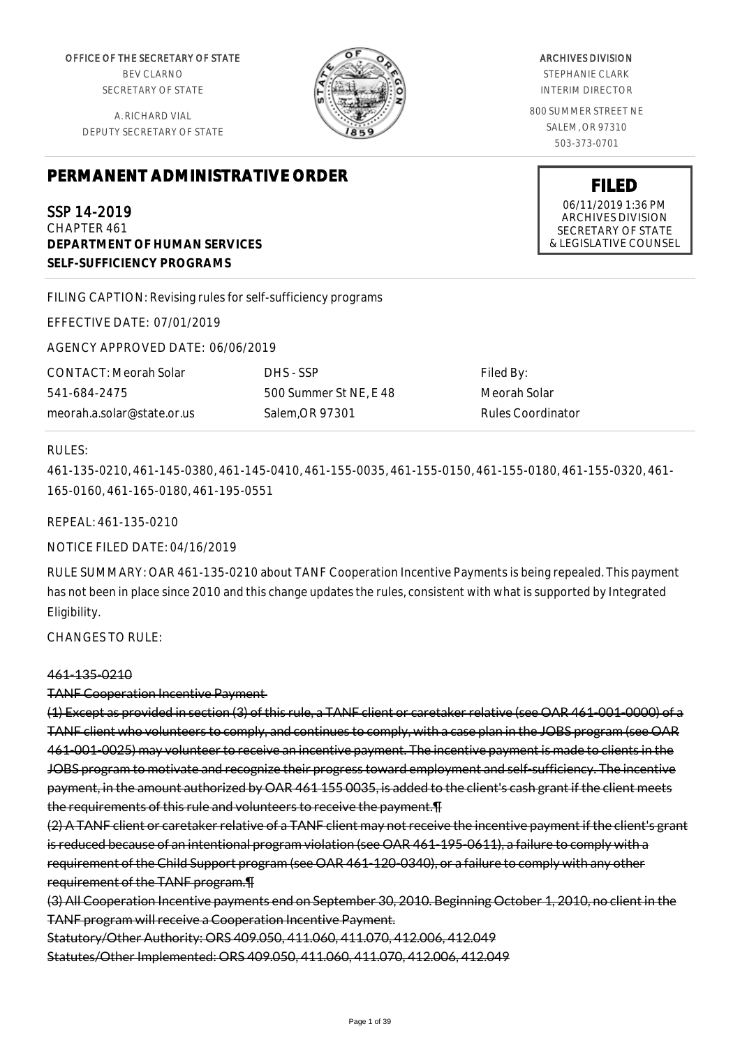OFFICE OF THE SECRETARY OF STATE BEV CLARNO SECRETARY OF STATE

A. RICHARD VIAL DEPUTY SECRETARY OF STATE



ARCHIVES DIVISION

STEPHANIE CLARK INTERIM DIRECTOR

800 SUMMER STREET NE SALEM, OR 97310 503-373-0701

> **FILED** 06/11/2019 1:36 PM ARCHIVES DIVISION SECRETARY OF STATE & LEGISLATIVE COUNSEL

# **PERMANENT ADMINISTRATIVE ORDER**

SSP 14-2019 CHAPTER 461 **DEPARTMENT OF HUMAN SERVICES SELF-SUFFICIENCY PROGRAMS**

FILING CAPTION: Revising rules for self-sufficiency programs

EFFECTIVE DATE: 07/01/2019

AGENCY APPROVED DATE: 06/06/2019

CONTACT: Meorah Solar 541-684-2475 meorah.a.solar@state.or.us DHS - SSP 500 Summer St NE, E 48 Salem,OR 97301

Filed By: Meorah Solar Rules Coordinator

### RULES:

461-135-0210, 461-145-0380, 461-145-0410, 461-155-0035, 461-155-0150, 461-155-0180, 461-155-0320, 461- 165-0160, 461-165-0180, 461-195-0551

REPEAL: 461-135-0210

NOTICE FILED DATE: 04/16/2019

RULE SUMMARY: OAR 461-135-0210 about TANF Cooperation Incentive Payments is being repealed. This payment has not been in place since 2010 and this change updates the rules, consistent with what is supported by Integrated Eligibility.

CHANGES TO RULE:

### 461-135-0210

TANF Cooperation Incentive Payment

(1) Except as provided in section (3) of this rule, a TANF client or caretaker relative (see OAR 461-001-0000) of a TANF client who volunteers to comply, and continues to comply, with a case plan in the JOBS program (see OAR 461-001-0025) may volunteer to receive an incentive payment. The incentive payment is made to clients in the JOBS program to motivate and recognize their progress toward employment and self-sufficiency. The incentive payment, in the amount authorized by OAR 461 155 0035, is added to the client's cash grant if the client meets the requirements of this rule and volunteers to receive the payment.¶

(2) A TANF client or caretaker relative of a TANF client may not receive the incentive payment if the client's grant is reduced because of an intentional program violation (see OAR 461-195-0611), a failure to comply with a requirement of the Child Support program (see OAR 461-120-0340), or a failure to comply with any other requirement of the TANF program.¶

(3) All Cooperation Incentive payments end on September 30, 2010. Beginning October 1, 2010, no client in the TANF program will receive a Cooperation Incentive Payment.

Statutory/Other Authority: ORS 409.050, 411.060, 411.070, 412.006, 412.049

Statutes/Other Implemented: ORS 409.050, 411.060, 411.070, 412.006, 412.049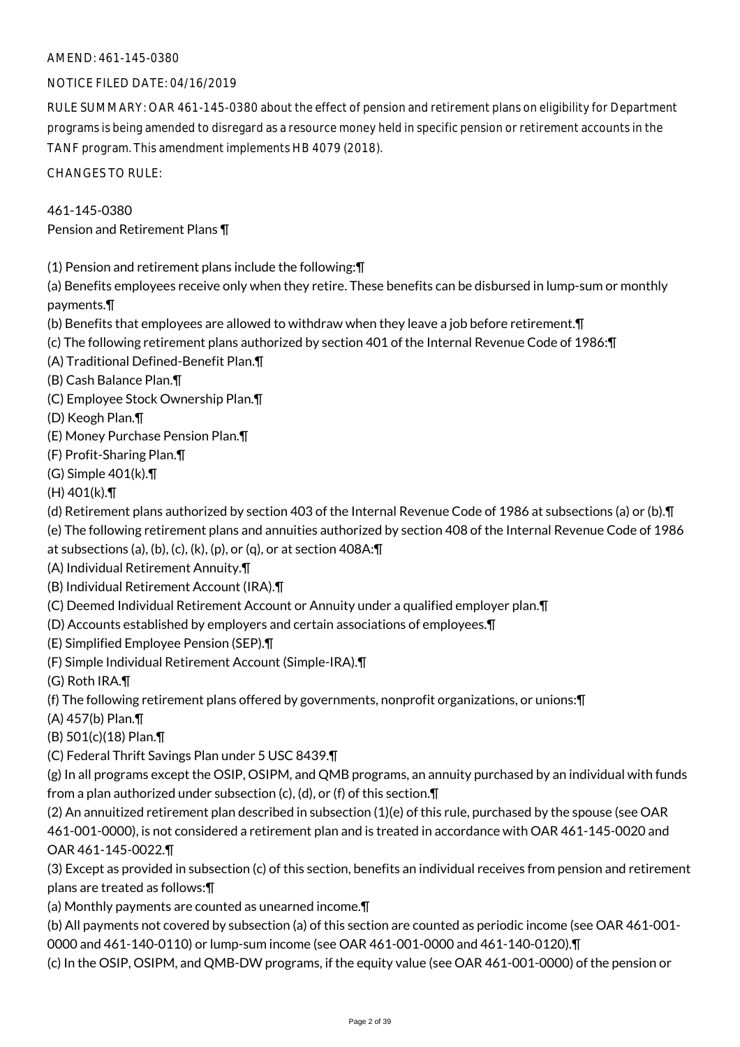### AMEND: 461-145-0380

### NOTICE FILED DATE: 04/16/2019

RULE SUMMARY: OAR 461-145-0380 about the effect of pension and retirement plans on eligibility for Department programs is being amended to disregard as a resource money held in specific pension or retirement accounts in the TANF program. This amendment implements HB 4079 (2018).

CHANGES TO RULE:

### 461-145-0380 Pension and Retirement Plans ¶

(1) Pension and retirement plans include the following:¶

(a) Benefits employees receive only when they retire. These benefits can be disbursed in lump-sum or monthly payments.¶

- (b) Benefits that employees are allowed to withdraw when they leave a job before retirement.¶
- (c) The following retirement plans authorized by section 401 of the Internal Revenue Code of 1986:¶
- (A) Traditional Defined-Benefit Plan.¶
- (B) Cash Balance Plan.¶
- (C) Employee Stock Ownership Plan.¶
- (D) Keogh Plan.¶
- (E) Money Purchase Pension Plan.¶
- (F) Profit-Sharing Plan.¶
- (G) Simple 401(k).¶
- $(H)$  401 $(k)$ . T

(d) Retirement plans authorized by section 403 of the Internal Revenue Code of 1986 at subsections (a) or (b).¶

- (e) The following retirement plans and annuities authorized by section 408 of the Internal Revenue Code of 1986
- at subsections (a), (b), (c), (k), (p), or (q), or at section  $408A:\mathcal{T}$
- (A) Individual Retirement Annuity.¶
- (B) Individual Retirement Account (IRA).¶
- (C) Deemed Individual Retirement Account or Annuity under a qualified employer plan.¶
- (D) Accounts established by employers and certain associations of employees.¶
- (E) Simplified Employee Pension (SEP).¶
- (F) Simple Individual Retirement Account (Simple-IRA).¶
- (G) Roth IRA.¶
- (f) The following retirement plans offered by governments, nonprofit organizations, or unions:¶
- (A) 457(b) Plan.¶
- (B) 501(c)(18) Plan.¶
- (C) Federal Thrift Savings Plan under 5 USC 8439.¶

(g) In all programs except the OSIP, OSIPM, and QMB programs, an annuity purchased by an individual with funds from a plan authorized under subsection (c), (d), or (f) of this section.¶

(2) An annuitized retirement plan described in subsection (1)(e) of this rule, purchased by the spouse (see OAR 461-001-0000), is not considered a retirement plan and is treated in accordance with OAR 461-145-0020 and OAR 461-145-0022.¶

(3) Except as provided in subsection (c) of this section, benefits an individual receives from pension and retirement plans are treated as follows:¶

- (a) Monthly payments are counted as unearned income.¶
- (b) All payments not covered by subsection (a) of this section are counted as periodic income (see OAR 461-001-
- 0000 and 461-140-0110) or lump-sum income (see OAR 461-001-0000 and 461-140-0120).¶
- (c) In the OSIP, OSIPM, and QMB-DW programs, if the equity value (see OAR 461-001-0000) of the pension or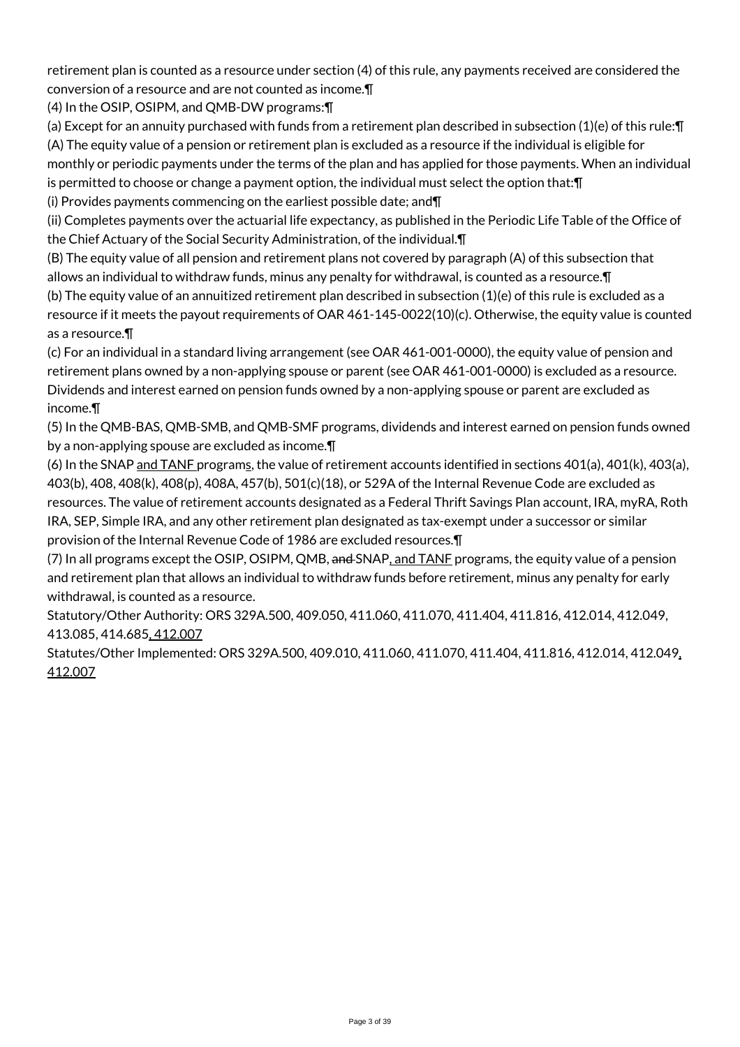retirement plan is counted as a resource under section (4) of this rule, any payments received are considered the conversion of a resource and are not counted as income.¶

(4) In the OSIP, OSIPM, and QMB-DW programs:¶

(a) Except for an annuity purchased with funds from a retirement plan described in subsection (1)(e) of this rule:¶ (A) The equity value of a pension or retirement plan is excluded as a resource if the individual is eligible for monthly or periodic payments under the terms of the plan and has applied for those payments. When an individual is permitted to choose or change a payment option, the individual must select the option that:¶

(i) Provides payments commencing on the earliest possible date; and¶

(ii) Completes payments over the actuarial life expectancy, as published in the Periodic Life Table of the Office of the Chief Actuary of the Social Security Administration, of the individual.¶

(B) The equity value of all pension and retirement plans not covered by paragraph (A) of this subsection that allows an individual to withdraw funds, minus any penalty for withdrawal, is counted as a resource.¶

(b) The equity value of an annuitized retirement plan described in subsection (1)(e) of this rule is excluded as a resource if it meets the payout requirements of OAR 461-145-0022(10)(c). Otherwise, the equity value is counted as a resource.¶

(c) For an individual in a standard living arrangement (see OAR 461-001-0000), the equity value of pension and retirement plans owned by a non-applying spouse or parent (see OAR 461-001-0000) is excluded as a resource. Dividends and interest earned on pension funds owned by a non-applying spouse or parent are excluded as income.¶

(5) In the QMB-BAS, QMB-SMB, and QMB-SMF programs, dividends and interest earned on pension funds owned by a non-applying spouse are excluded as income.¶

(6) In the SNAP and TANF programs, the value of retirement accounts identified in sections  $401(a)$ ,  $401(k)$ ,  $403(a)$ , 403(b), 408, 408(k), 408(p), 408A, 457(b), 501(c)(18), or 529A of the Internal Revenue Code are excluded as resources. The value of retirement accounts designated as a Federal Thrift Savings Plan account, IRA, myRA, Roth IRA, SEP, Simple IRA, and any other retirement plan designated as tax-exempt under a successor or similar provision of the Internal Revenue Code of 1986 are excluded resources.¶

(7) In all programs except the OSIP, OSIPM, QMB, and SNAP, and TANF programs, the equity value of a pension and retirement plan that allows an individual to withdraw funds before retirement, minus any penalty for early withdrawal, is counted as a resource.

Statutory/Other Authority: ORS 329A.500, 409.050, 411.060, 411.070, 411.404, 411.816, 412.014, 412.049, 413.085, 414.685, 412.007

Statutes/Other Implemented: ORS 329A.500, 409.010, 411.060, 411.070, 411.404, 411.816, 412.014, 412.049, 412.007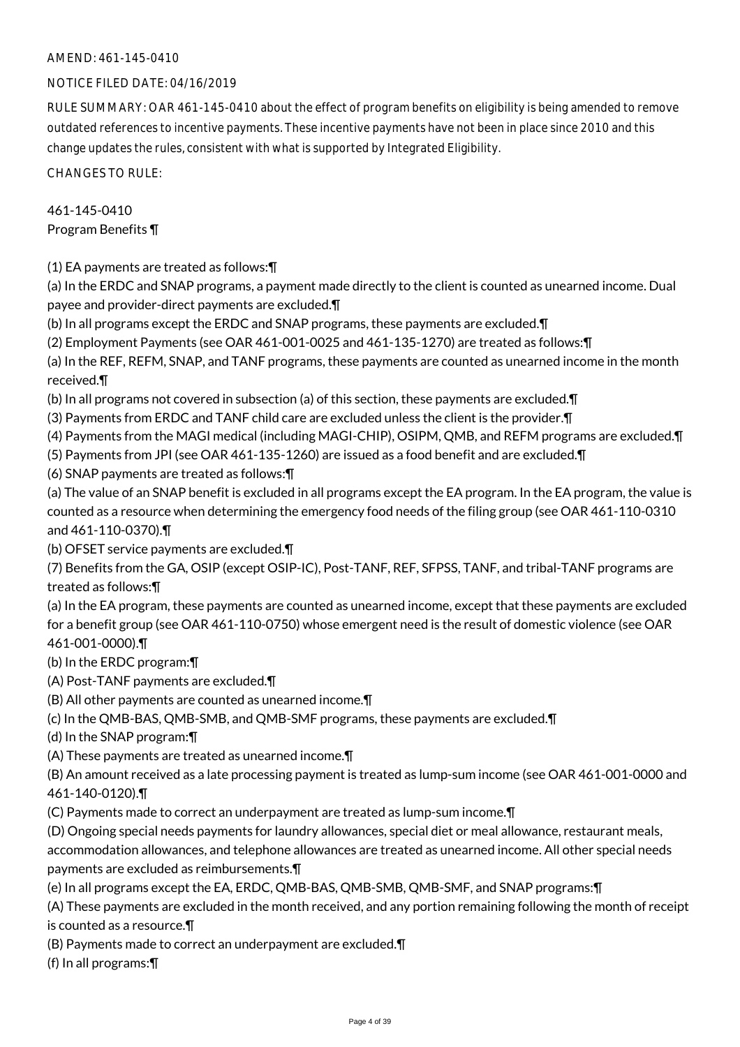### AMEND: 461-145-0410

### NOTICE FILED DATE: 04/16/2019

RULE SUMMARY: OAR 461-145-0410 about the effect of program benefits on eligibility is being amended to remove outdated references to incentive payments. These incentive payments have not been in place since 2010 and this change updates the rules, consistent with what is supported by Integrated Eligibility.

CHANGES TO RULE:

### 461-145-0410 Program Benefits ¶

(1) EA payments are treated as follows:¶

(a) In the ERDC and SNAP programs, a payment made directly to the client is counted as unearned income. Dual payee and provider-direct payments are excluded.¶

(b) In all programs except the ERDC and SNAP programs, these payments are excluded.¶

(2) Employment Payments (see OAR 461-001-0025 and 461-135-1270) are treated as follows:¶

(a) In the REF, REFM, SNAP, and TANF programs, these payments are counted as unearned income in the month received.¶

(b) In all programs not covered in subsection (a) of this section, these payments are excluded.¶

(3) Payments from ERDC and TANF child care are excluded unless the client is the provider.¶

(4) Payments from the MAGI medical (including MAGI-CHIP), OSIPM, QMB, and REFM programs are excluded.¶

(5) Payments from JPI (see OAR 461-135-1260) are issued as a food benefit and are excluded.¶

(6) SNAP payments are treated as follows:¶

(a) The value of an SNAP benefit is excluded in all programs except the EA program. In the EA program, the value is counted as a resource when determining the emergency food needs of the filing group (see OAR 461-110-0310 and 461-110-0370).¶

(b) OFSET service payments are excluded.¶

(7) Benefits from the GA, OSIP (except OSIP-IC), Post-TANF, REF, SFPSS, TANF, and tribal-TANF programs are treated as follows:¶

(a) In the EA program, these payments are counted as unearned income, except that these payments are excluded for a benefit group (see OAR 461-110-0750) whose emergent need is the result of domestic violence (see OAR 461-001-0000).¶

(b) In the ERDC program:¶

- (A) Post-TANF payments are excluded.¶
- (B) All other payments are counted as unearned income.¶
- (c) In the QMB-BAS, QMB-SMB, and QMB-SMF programs, these payments are excluded.¶

(d) In the SNAP program:¶

(A) These payments are treated as unearned income.¶

(B) An amount received as a late processing payment is treated as lump-sum income (see OAR 461-001-0000 and 461-140-0120).¶

- (C) Payments made to correct an underpayment are treated as lump-sum income.¶
- (D) Ongoing special needs payments for laundry allowances, special diet or meal allowance, restaurant meals,

accommodation allowances, and telephone allowances are treated as unearned income. All other special needs payments are excluded as reimbursements.¶

(e) In all programs except the EA, ERDC, QMB-BAS, QMB-SMB, QMB-SMF, and SNAP programs:¶

(A) These payments are excluded in the month received, and any portion remaining following the month of receipt is counted as a resource.¶

(B) Payments made to correct an underpayment are excluded.¶

(f) In all programs:¶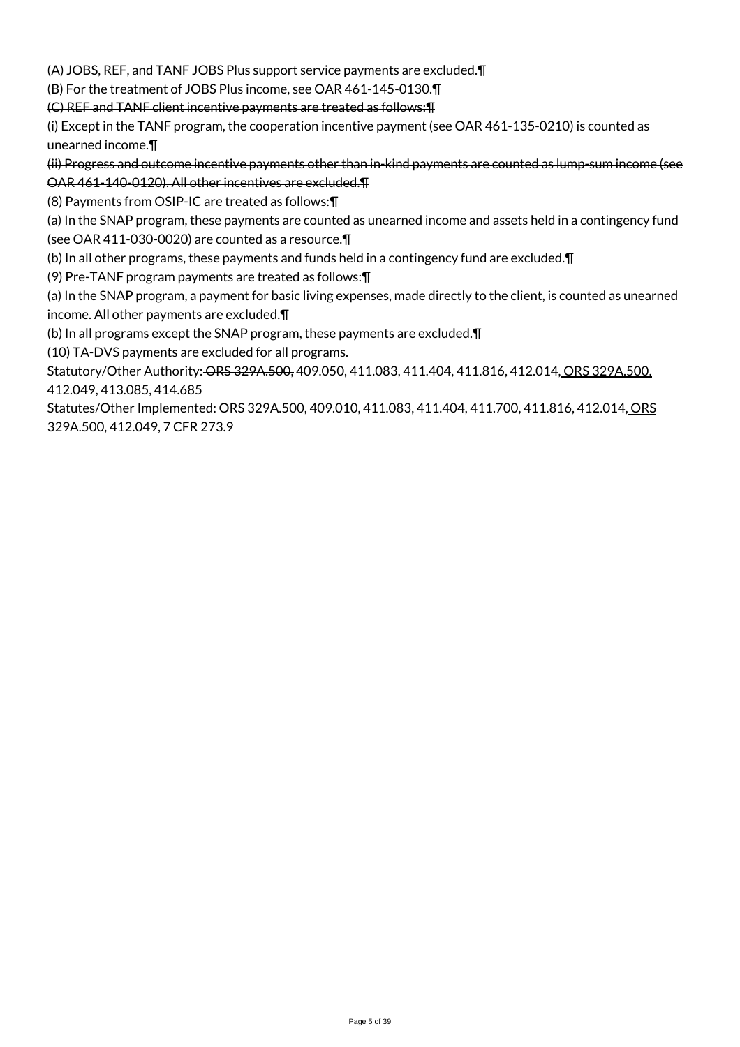(A) JOBS, REF, and TANF JOBS Plus support service payments are excluded.¶

(B) For the treatment of JOBS Plus income, see OAR 461-145-0130.¶

(C) REF and TANF client incentive payments are treated as follows:¶

(i) Except in the TANF program, the cooperation incentive payment (see OAR 461-135-0210) is counted as unearned income.¶

(ii) Progress and outcome incentive payments other than in-kind payments are counted as lump-sum income (see OAR 461-140-0120). All other incentives are excluded.¶

(8) Payments from OSIP-IC are treated as follows:¶

(a) In the SNAP program, these payments are counted as unearned income and assets held in a contingency fund (see OAR 411-030-0020) are counted as a resource.¶

(b) In all other programs, these payments and funds held in a contingency fund are excluded.¶

(9) Pre-TANF program payments are treated as follows:¶

(a) In the SNAP program, a payment for basic living expenses, made directly to the client, is counted as unearned income. All other payments are excluded.¶

(b) In all programs except the SNAP program, these payments are excluded.¶

(10) TA-DVS payments are excluded for all programs.

Statutory/Other Authority: ORS 329A.500, 409.050, 411.083, 411.404, 411.816, 412.014, ORS 329A.500, 412.049, 413.085, 414.685

Statutes/Other Implemented: ORS 329A.500, 409.010, 411.083, 411.404, 411.700, 411.816, 412.014, ORS 329A.500, 412.049, 7 CFR 273.9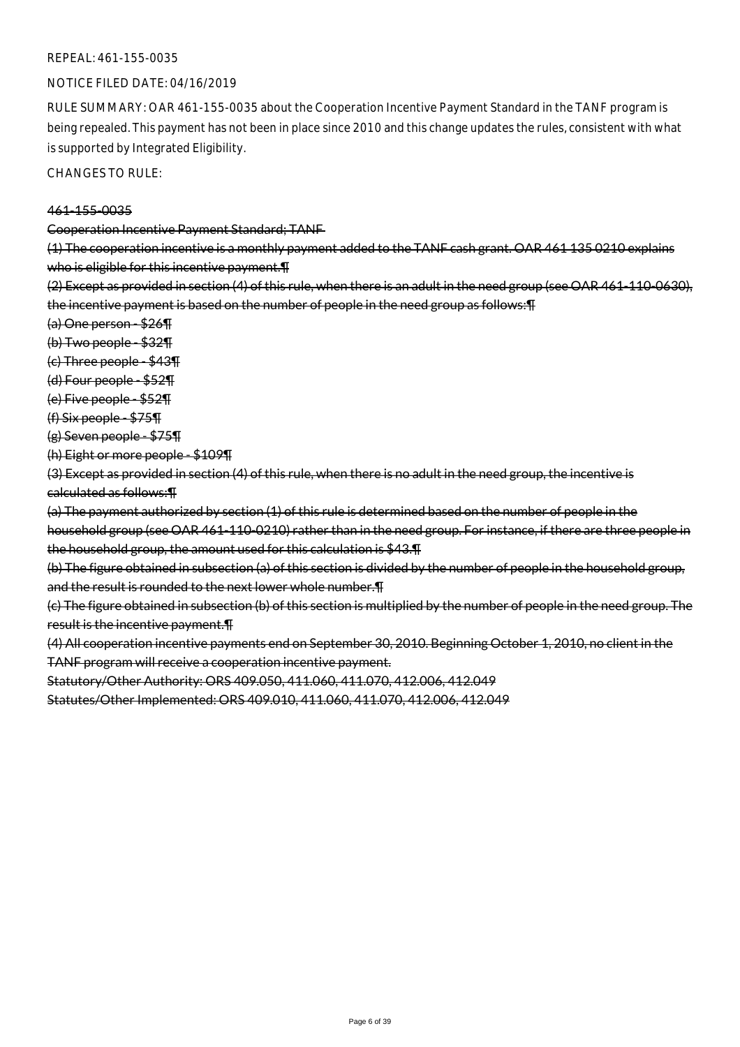#### REPEAL: 461-155-0035

### NOTICE FILED DATE: 04/16/2019

RULE SUMMARY: OAR 461-155-0035 about the Cooperation Incentive Payment Standard in the TANF program is being repealed. This payment has not been in place since 2010 and this change updates the rules, consistent with what is supported by Integrated Eligibility.

CHANGES TO RULE:

#### 461-155-0035

Cooperation Incentive Payment Standard; TANF

(1) The cooperation incentive is a monthly payment added to the TANF cash grant. OAR 461 135 0210 explains who is eligible for this incentive payment. The

(2) Except as provided in section (4) of this rule, when there is an adult in the need group (see OAR 461-110-0630), the incentive payment is based on the number of people in the need group as follows:¶

(a) One person - \$26¶

(b) Two people - \$32¶

(c) Three people - \$43¶

(d) Four people - \$52¶

(e) Five people - \$52¶

(f) Six people - \$75¶

(g) Seven people - \$75¶

(h) Eight or more people - \$109¶

(3) Except as provided in section (4) of this rule, when there is no adult in the need group, the incentive is calculated as follows:¶

(a) The payment authorized by section (1) of this rule is determined based on the number of people in the household group (see OAR 461-110-0210) rather than in the need group. For instance, if there are three people in the household group, the amount used for this calculation is \$43.¶

(b) The figure obtained in subsection (a) of this section is divided by the number of people in the household group, and the result is rounded to the next lower whole number.¶

(c) The figure obtained in subsection (b) of this section is multiplied by the number of people in the need group. The result is the incentive payment.¶

(4) All cooperation incentive payments end on September 30, 2010. Beginning October 1, 2010, no client in the TANF program will receive a cooperation incentive payment.

Statutory/Other Authority: ORS 409.050, 411.060, 411.070, 412.006, 412.049

Statutes/Other Implemented: ORS 409.010, 411.060, 411.070, 412.006, 412.049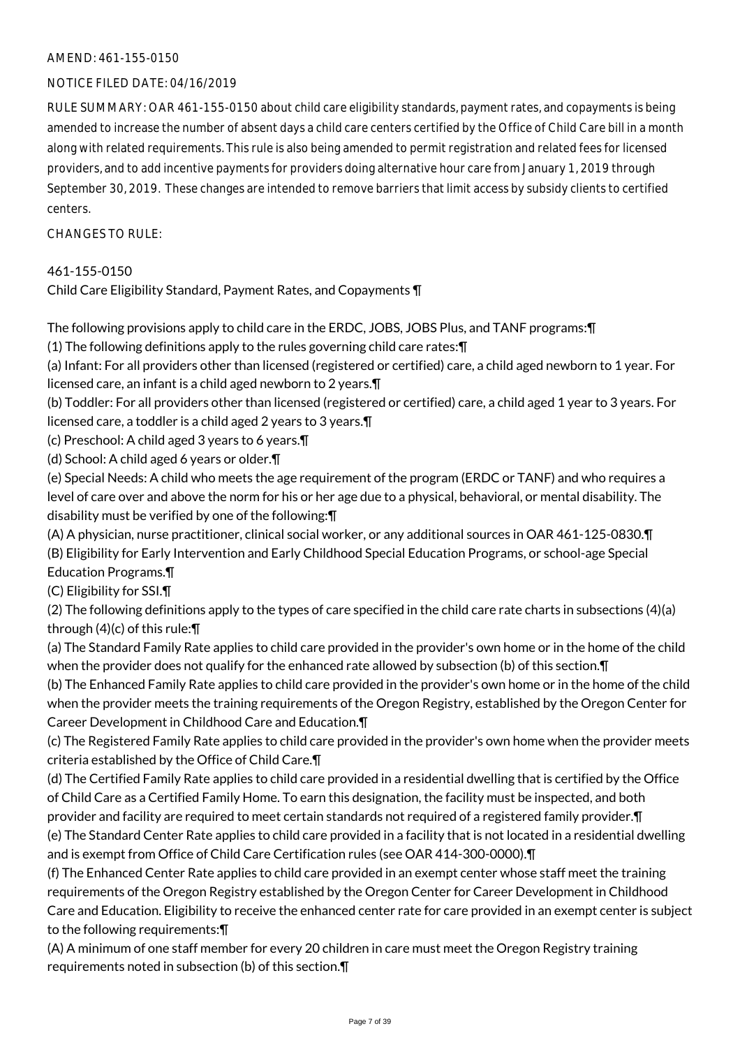### AMEND: 461-155-0150

### NOTICE FILED DATE: 04/16/2019

RULE SUMMARY: OAR 461-155-0150 about child care eligibility standards, payment rates, and copayments is being amended to increase the number of absent days a child care centers certified by the Office of Child Care bill in a month along with related requirements. This rule is also being amended to permit registration and related fees for licensed providers, and to add incentive payments for providers doing alternative hour care from January 1, 2019 through September 30, 2019. These changes are intended to remove barriers that limit access by subsidy clients to certified centers.

### CHANGES TO RULE:

### 461-155-0150

Child Care Eligibility Standard, Payment Rates, and Copayments ¶

The following provisions apply to child care in the ERDC, JOBS, JOBS Plus, and TANF programs:¶

(1) The following definitions apply to the rules governing child care rates:¶

(a) Infant: For all providers other than licensed (registered or certified) care, a child aged newborn to 1 year. For licensed care, an infant is a child aged newborn to 2 years.¶

(b) Toddler: For all providers other than licensed (registered or certified) care, a child aged 1 year to 3 years. For licensed care, a toddler is a child aged 2 years to 3 years.¶

(c) Preschool: A child aged 3 years to 6 years.¶

(d) School: A child aged 6 years or older.¶

(e) Special Needs: A child who meets the age requirement of the program (ERDC or TANF) and who requires a level of care over and above the norm for his or her age due to a physical, behavioral, or mental disability. The disability must be verified by one of the following:¶

(A) A physician, nurse practitioner, clinical social worker, or any additional sources in OAR 461-125-0830.¶ (B) Eligibility for Early Intervention and Early Childhood Special Education Programs, or school-age Special Education Programs.¶

(C) Eligibility for SSI.¶

(2) The following definitions apply to the types of care specified in the child care rate charts in subsections (4)(a) through  $(4)(c)$  of this rule:  $\P$ 

(a) The Standard Family Rate applies to child care provided in the provider's own home or in the home of the child when the provider does not qualify for the enhanced rate allowed by subsection (b) of this section.¶

(b) The Enhanced Family Rate applies to child care provided in the provider's own home or in the home of the child when the provider meets the training requirements of the Oregon Registry, established by the Oregon Center for Career Development in Childhood Care and Education.¶

(c) The Registered Family Rate applies to child care provided in the provider's own home when the provider meets criteria established by the Office of Child Care.¶

(d) The Certified Family Rate applies to child care provided in a residential dwelling that is certified by the Office of Child Care as a Certified Family Home. To earn this designation, the facility must be inspected, and both provider and facility are required to meet certain standards not required of a registered family provider.¶

(e) The Standard Center Rate applies to child care provided in a facility that is not located in a residential dwelling and is exempt from Office of Child Care Certification rules (see OAR 414-300-0000).¶

(f) The Enhanced Center Rate applies to child care provided in an exempt center whose staff meet the training requirements of the Oregon Registry established by the Oregon Center for Career Development in Childhood Care and Education. Eligibility to receive the enhanced center rate for care provided in an exempt center is subject to the following requirements:¶

(A) A minimum of one staff member for every 20 children in care must meet the Oregon Registry training requirements noted in subsection (b) of this section.¶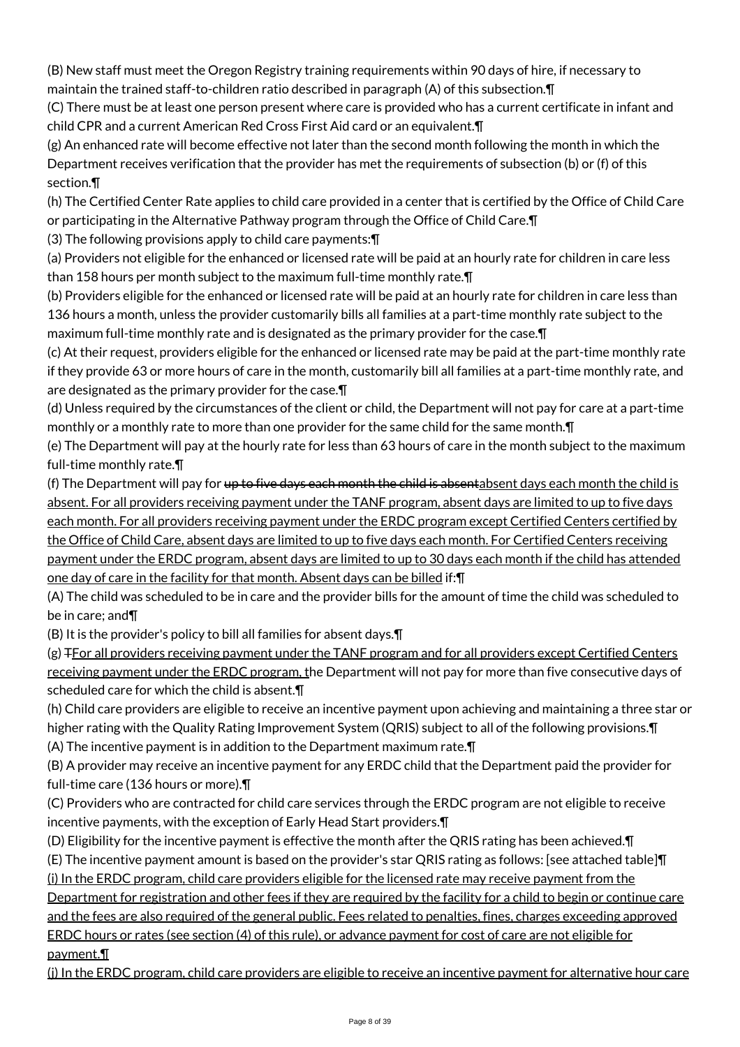(B) New staff must meet the Oregon Registry training requirements within 90 days of hire, if necessary to maintain the trained staff-to-children ratio described in paragraph (A) of this subsection.¶

(C) There must be at least one person present where care is provided who has a current certificate in infant and child CPR and a current American Red Cross First Aid card or an equivalent.¶

(g) An enhanced rate will become effective not later than the second month following the month in which the Department receives verification that the provider has met the requirements of subsection (b) or (f) of this section.¶

(h) The Certified Center Rate applies to child care provided in a center that is certified by the Office of Child Care or participating in the Alternative Pathway program through the Office of Child Care.¶

(3) The following provisions apply to child care payments:¶

(a) Providers not eligible for the enhanced or licensed rate will be paid at an hourly rate for children in care less than 158 hours per month subject to the maximum full-time monthly rate.¶

(b) Providers eligible for the enhanced or licensed rate will be paid at an hourly rate for children in care less than 136 hours a month, unless the provider customarily bills all families at a part-time monthly rate subject to the maximum full-time monthly rate and is designated as the primary provider for the case.¶

(c) At their request, providers eligible for the enhanced or licensed rate may be paid at the part-time monthly rate if they provide 63 or more hours of care in the month, customarily bill all families at a part-time monthly rate, and are designated as the primary provider for the case.¶

(d) Unless required by the circumstances of the client or child, the Department will not pay for care at a part-time monthly or a monthly rate to more than one provider for the same child for the same month. T

(e) The Department will pay at the hourly rate for less than 63 hours of care in the month subject to the maximum full-time monthly rate.¶

(f) The Department will pay for <del>up to five days each month the child is absent</del>absent days each month the child is absent. For all providers receiving payment under the TANF program, absent days are limited to up to five days each month. For all providers receiving payment under the ERDC program except Certified Centers certified by the Office of Child Care, absent days are limited to up to five days each month. For Certified Centers receiving payment under the ERDC program, absent days are limited to up to 30 days each month if the child has attended one day of care in the facility for that month. Absent days can be billed if:¶

(A) The child was scheduled to be in care and the provider bills for the amount of time the child was scheduled to be in care; and¶

(B) It is the provider's policy to bill all families for absent days.¶

(g) TFor all providers receiving payment under the TANF program and for all providers except Certified Centers receiving payment under the ERDC program, the Department will not pay for more than five consecutive days of scheduled care for which the child is absent.¶

(h) Child care providers are eligible to receive an incentive payment upon achieving and maintaining a three star or higher rating with the Quality Rating Improvement System (QRIS) subject to all of the following provisions.¶ (A) The incentive payment is in addition to the Department maximum rate.¶

(B) A provider may receive an incentive payment for any ERDC child that the Department paid the provider for full-time care (136 hours or more).¶

(C) Providers who are contracted for child care services through the ERDC program are not eligible to receive incentive payments, with the exception of Early Head Start providers.¶

(D) Eligibility for the incentive payment is effective the month after the QRIS rating has been achieved.¶

(E) The incentive payment amount is based on the provider's star QRIS rating as follows: [see attached table]¶ (i) In the ERDC program, child care providers eligible for the licensed rate may receive payment from the

Department for registration and other fees if they are required by the facility for a child to begin or continue care

and the fees are also required of the general public. Fees related to penalties, fines, charges exceeding approved ERDC hours or rates (see section (4) of this rule), or advance payment for cost of care are not eligible for payment.¶

(j) In the ERDC program, child care providers are eligible to receive an incentive payment for alternative hour care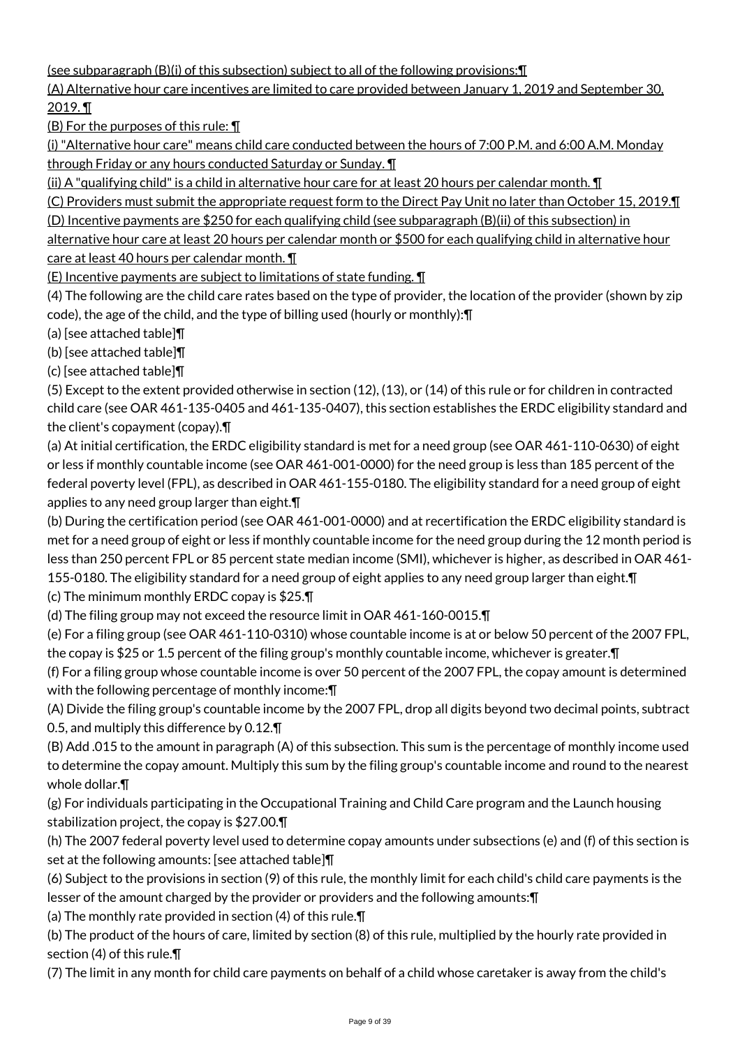(see subparagraph (B)(i) of this subsection) subject to all of the following provisions:¶

(A) Alternative hour care incentives are limited to care provided between January 1, 2019 and September 30, 2019. ¶

 $(B)$  For the purposes of this rule:  $\P$ 

(i) "Alternative hour care" means child care conducted between the hours of 7:00 P.M. and 6:00 A.M. Monday through Friday or any hours conducted Saturday or Sunday. ¶

(ii) A "qualifying child" is a child in alternative hour care for at least 20 hours per calendar month. ¶

(C) Providers must submit the appropriate request form to the Direct Pay Unit no later than October 15, 2019.¶

(D) Incentive payments are \$250 for each qualifying child (see subparagraph (B)(ii) of this subsection) in

alternative hour care at least 20 hours per calendar month or \$500 for each qualifying child in alternative hour care at least 40 hours per calendar month. **[1]** 

(E) Incentive payments are subject to limitations of state funding. ¶

(4) The following are the child care rates based on the type of provider, the location of the provider (shown by zip code), the age of the child, and the type of billing used (hourly or monthly):¶

(a) [see attached table]¶

(b) [see attached table]¶

(c) [see attached table]¶

(5) Except to the extent provided otherwise in section (12), (13), or (14) of this rule or for children in contracted child care (see OAR 461-135-0405 and 461-135-0407), this section establishes the ERDC eligibility standard and the client's copayment (copay).¶

(a) At initial certification, the ERDC eligibility standard is met for a need group (see OAR 461-110-0630) of eight or less if monthly countable income (see OAR 461-001-0000) for the need group is less than 185 percent of the federal poverty level (FPL), as described in OAR 461-155-0180. The eligibility standard for a need group of eight applies to any need group larger than eight.¶

(b) During the certification period (see OAR 461-001-0000) and at recertification the ERDC eligibility standard is met for a need group of eight or less if monthly countable income for the need group during the 12 month period is less than 250 percent FPL or 85 percent state median income (SMI), whichever is higher, as described in OAR 461- 155-0180. The eligibility standard for a need group of eight applies to any need group larger than eight.¶

(c) The minimum monthly ERDC copay is \$25.¶

(d) The filing group may not exceed the resource limit in OAR 461-160-0015.¶

(e) For a filing group (see OAR 461-110-0310) whose countable income is at or below 50 percent of the 2007 FPL, the copay is \$25 or 1.5 percent of the filing group's monthly countable income, whichever is greater.¶

(f) For a filing group whose countable income is over 50 percent of the 2007 FPL, the copay amount is determined with the following percentage of monthly income:¶

(A) Divide the filing group's countable income by the 2007 FPL, drop all digits beyond two decimal points, subtract 0.5, and multiply this difference by 0.12.¶

(B) Add .015 to the amount in paragraph (A) of this subsection. This sum is the percentage of monthly income used to determine the copay amount. Multiply this sum by the filing group's countable income and round to the nearest whole dollar.¶

(g) For individuals participating in the Occupational Training and Child Care program and the Launch housing stabilization project, the copay is \$27.00.¶

(h) The 2007 federal poverty level used to determine copay amounts under subsections (e) and (f) of this section is set at the following amounts: [see attached table]¶

(6) Subject to the provisions in section (9) of this rule, the monthly limit for each child's child care payments is the lesser of the amount charged by the provider or providers and the following amounts:¶

(a) The monthly rate provided in section (4) of this rule.¶

(b) The product of the hours of care, limited by section (8) of this rule, multiplied by the hourly rate provided in section (4) of this rule.¶

(7) The limit in any month for child care payments on behalf of a child whose caretaker is away from the child's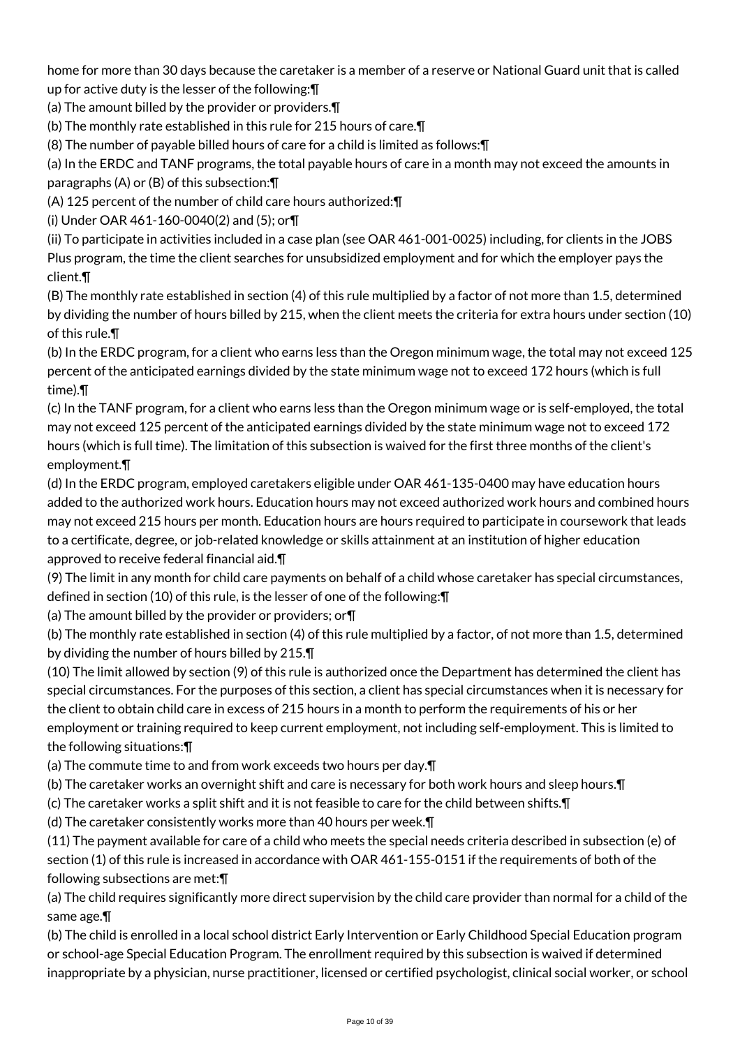home for more than 30 days because the caretaker is a member of a reserve or National Guard unit that is called up for active duty is the lesser of the following:¶

(a) The amount billed by the provider or providers.¶

(b) The monthly rate established in this rule for 215 hours of care.¶

(8) The number of payable billed hours of care for a child is limited as follows:¶

(a) In the ERDC and TANF programs, the total payable hours of care in a month may not exceed the amounts in paragraphs (A) or (B) of this subsection:¶

(A) 125 percent of the number of child care hours authorized:¶

(i) Under OAR 461-160-0040(2) and (5); or¶

(ii) To participate in activities included in a case plan (see OAR 461-001-0025) including, for clients in the JOBS Plus program, the time the client searches for unsubsidized employment and for which the employer pays the client.¶

(B) The monthly rate established in section (4) of this rule multiplied by a factor of not more than 1.5, determined by dividing the number of hours billed by 215, when the client meets the criteria for extra hours under section (10) of this rule.¶

(b) In the ERDC program, for a client who earns less than the Oregon minimum wage, the total may not exceed 125 percent of the anticipated earnings divided by the state minimum wage not to exceed 172 hours (which is full time).¶

(c) In the TANF program, for a client who earns less than the Oregon minimum wage or is self-employed, the total may not exceed 125 percent of the anticipated earnings divided by the state minimum wage not to exceed 172 hours (which is full time). The limitation of this subsection is waived for the first three months of the client's employment.¶

(d) In the ERDC program, employed caretakers eligible under OAR 461-135-0400 may have education hours added to the authorized work hours. Education hours may not exceed authorized work hours and combined hours may not exceed 215 hours per month. Education hours are hours required to participate in coursework that leads to a certificate, degree, or job-related knowledge or skills attainment at an institution of higher education approved to receive federal financial aid.¶

(9) The limit in any month for child care payments on behalf of a child whose caretaker has special circumstances, defined in section (10) of this rule, is the lesser of one of the following:¶

(a) The amount billed by the provider or providers; or¶

(b) The monthly rate established in section (4) of this rule multiplied by a factor, of not more than 1.5, determined by dividing the number of hours billed by 215.¶

(10) The limit allowed by section (9) of this rule is authorized once the Department has determined the client has special circumstances. For the purposes of this section, a client has special circumstances when it is necessary for the client to obtain child care in excess of 215 hours in a month to perform the requirements of his or her employment or training required to keep current employment, not including self-employment. This is limited to the following situations:¶

(a) The commute time to and from work exceeds two hours per day.¶

(b) The caretaker works an overnight shift and care is necessary for both work hours and sleep hours.¶

(c) The caretaker works a split shift and it is not feasible to care for the child between shifts.¶

(d) The caretaker consistently works more than 40 hours per week.¶

(11) The payment available for care of a child who meets the special needs criteria described in subsection (e) of section (1) of this rule is increased in accordance with OAR 461-155-0151 if the requirements of both of the following subsections are met:¶

(a) The child requires significantly more direct supervision by the child care provider than normal for a child of the same age.¶

(b) The child is enrolled in a local school district Early Intervention or Early Childhood Special Education program or school-age Special Education Program. The enrollment required by this subsection is waived if determined inappropriate by a physician, nurse practitioner, licensed or certified psychologist, clinical social worker, or school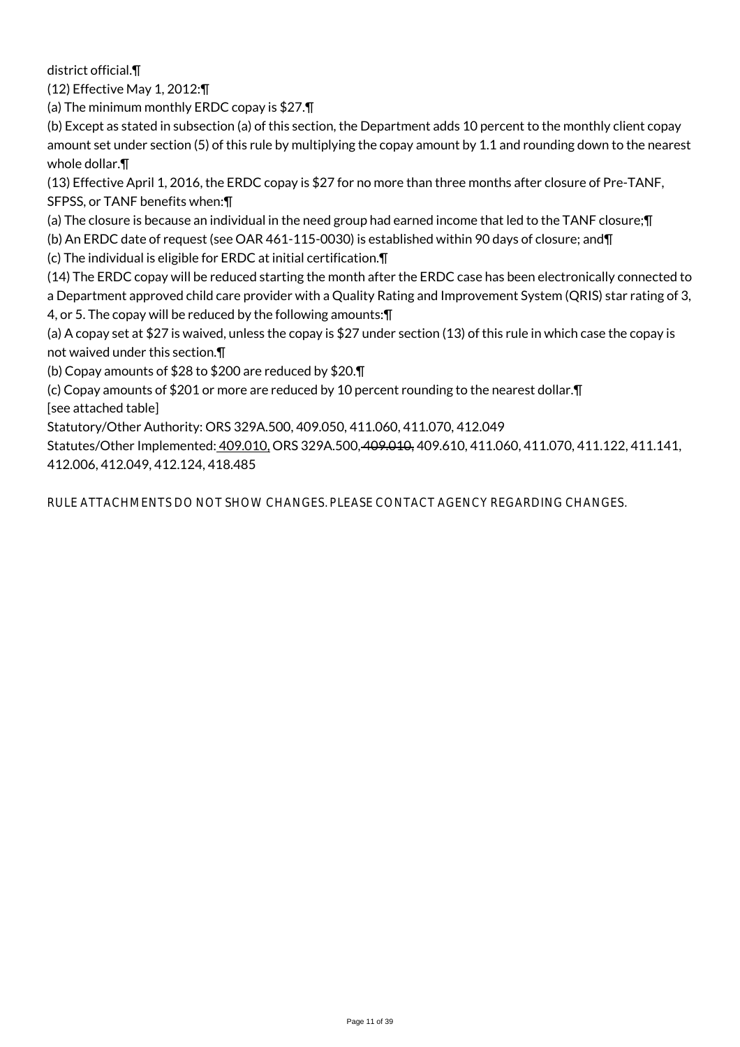district official.¶

(12) Effective May 1, 2012:¶

(a) The minimum monthly ERDC copay is \$27.¶

(b) Except as stated in subsection (a) of this section, the Department adds 10 percent to the monthly client copay amount set under section (5) of this rule by multiplying the copay amount by 1.1 and rounding down to the nearest whole dollar.¶

(13) Effective April 1, 2016, the ERDC copay is \$27 for no more than three months after closure of Pre-TANF, SFPSS, or TANF benefits when:¶

(a) The closure is because an individual in the need group had earned income that led to the TANF closure;¶

(b) An ERDC date of request (see OAR 461-115-0030) is established within 90 days of closure; and¶

(c) The individual is eligible for ERDC at initial certification.¶

(14) The ERDC copay will be reduced starting the month after the ERDC case has been electronically connected to a Department approved child care provider with a Quality Rating and Improvement System (QRIS) star rating of 3, 4, or 5. The copay will be reduced by the following amounts:¶

(a) A copay set at \$27 is waived, unless the copay is \$27 under section (13) of this rule in which case the copay is not waived under this section.¶

(b) Copay amounts of \$28 to \$200 are reduced by \$20.¶

(c) Copay amounts of \$201 or more are reduced by 10 percent rounding to the nearest dollar.¶

[see attached table]

Statutory/Other Authority: ORS 329A.500, 409.050, 411.060, 411.070, 412.049

Statutes/Other Implemented: 409.010. ORS 329A.500, 409.010, 409.610, 411.060, 411.070, 411.122, 411.141, 412.006, 412.049, 412.124, 418.485

RULE ATTACHMENTS DO NOT SHOW CHANGES. PLEASE CONTACT AGENCY REGARDING CHANGES.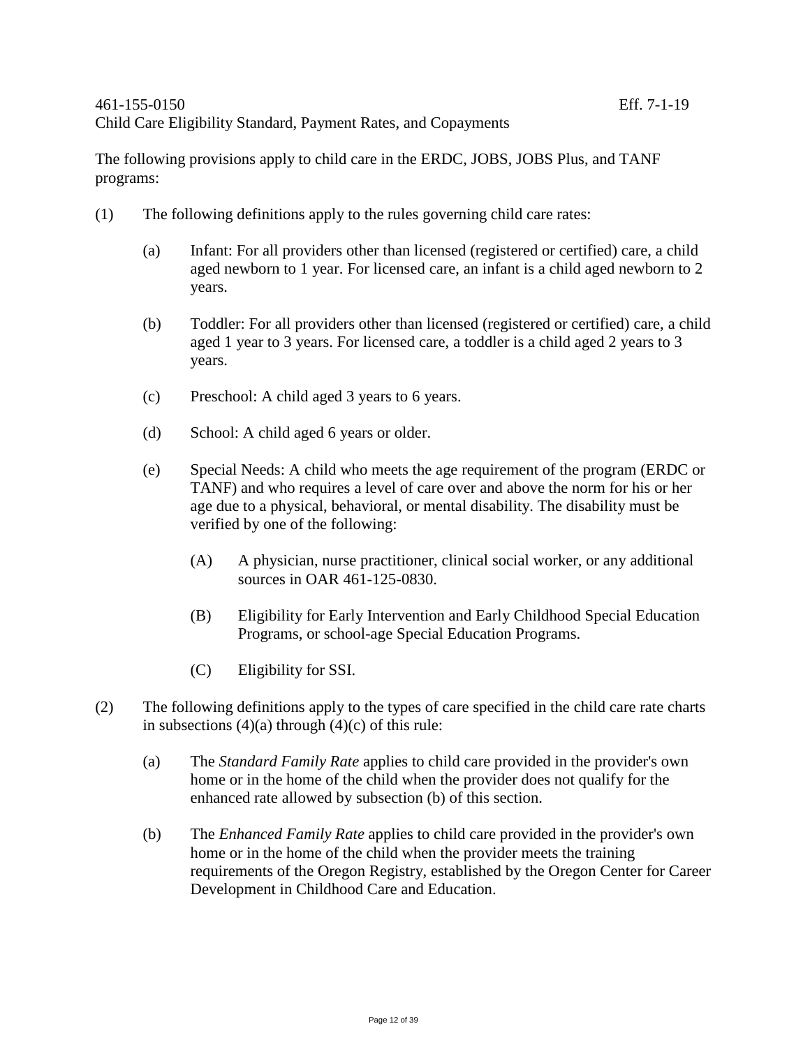The following provisions apply to child care in the ERDC, JOBS, JOBS Plus, and TANF programs:

- (1) The following definitions apply to the rules governing child care rates:
	- (a) Infant: For all providers other than licensed (registered or certified) care, a child aged newborn to 1 year. For licensed care, an infant is a child aged newborn to 2 years.
	- (b) Toddler: For all providers other than licensed (registered or certified) care, a child aged 1 year to 3 years. For licensed care, a toddler is a child aged 2 years to 3 years.
	- (c) Preschool: A child aged 3 years to 6 years.
	- (d) School: A child aged 6 years or older.
	- (e) Special Needs: A child who meets the age requirement of the program (ERDC or TANF) and who requires a level of care over and above the norm for his or her age due to a physical, behavioral, or mental disability. The disability must be verified by one of the following:
		- (A) A physician, nurse practitioner, clinical social worker, or any additional sources in OAR 461-125-0830.
		- (B) Eligibility for Early Intervention and Early Childhood Special Education Programs, or school-age Special Education Programs.
		- (C) Eligibility for SSI.
- (2) The following definitions apply to the types of care specified in the child care rate charts in subsections  $(4)(a)$  through  $(4)(c)$  of this rule:
	- (a) The *Standard Family Rate* applies to child care provided in the provider's own home or in the home of the child when the provider does not qualify for the enhanced rate allowed by subsection (b) of this section.
	- (b) The *Enhanced Family Rate* applies to child care provided in the provider's own home or in the home of the child when the provider meets the training requirements of the Oregon Registry, established by the Oregon Center for Career Development in Childhood Care and Education.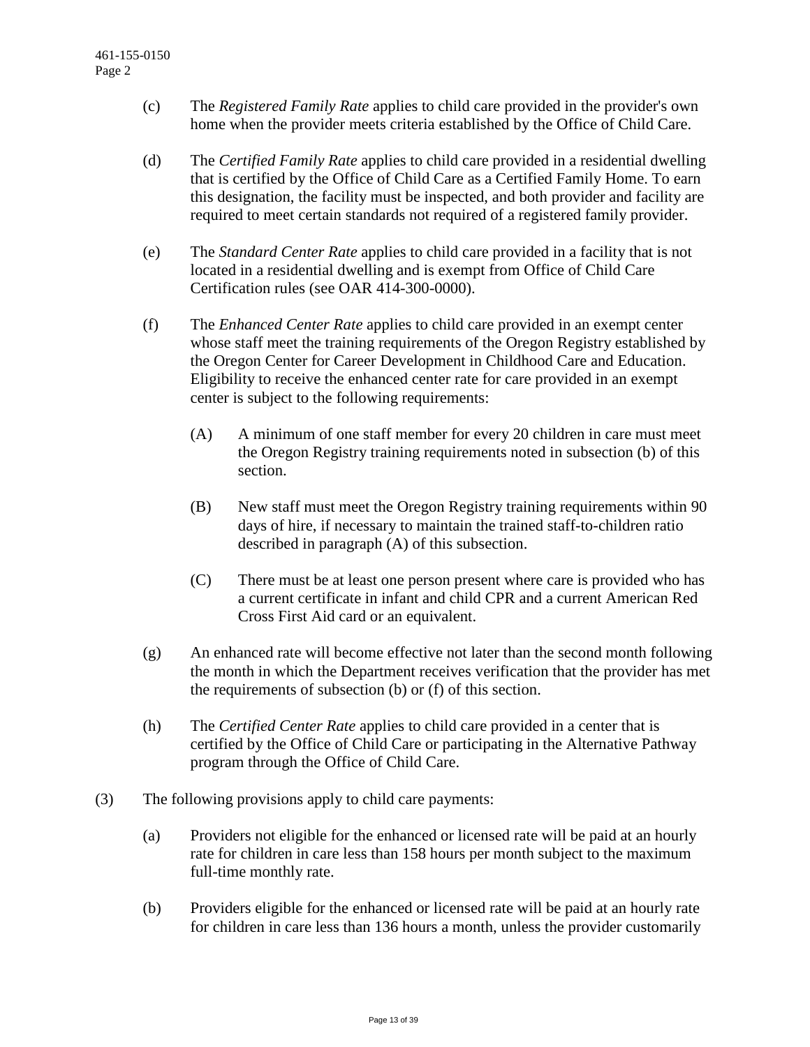- (c) The *Registered Family Rate* applies to child care provided in the provider's own home when the provider meets criteria established by the Office of Child Care.
- (d) The *Certified Family Rate* applies to child care provided in a residential dwelling that is certified by the Office of Child Care as a Certified Family Home. To earn this designation, the facility must be inspected, and both provider and facility are required to meet certain standards not required of a registered family provider.
- (e) The *Standard Center Rate* applies to child care provided in a facility that is not located in a residential dwelling and is exempt from Office of Child Care Certification rules (see OAR 414-300-0000).
- (f) The *Enhanced Center Rate* applies to child care provided in an exempt center whose staff meet the training requirements of the Oregon Registry established by the Oregon Center for Career Development in Childhood Care and Education. Eligibility to receive the enhanced center rate for care provided in an exempt center is subject to the following requirements:
	- (A) A minimum of one staff member for every 20 children in care must meet the Oregon Registry training requirements noted in subsection (b) of this section.
	- (B) New staff must meet the Oregon Registry training requirements within 90 days of hire, if necessary to maintain the trained staff-to-children ratio described in paragraph (A) of this subsection.
	- (C) There must be at least one person present where care is provided who has a current certificate in infant and child CPR and a current American Red Cross First Aid card or an equivalent.
- (g) An enhanced rate will become effective not later than the second month following the month in which the Department receives verification that the provider has met the requirements of subsection (b) or (f) of this section.
- (h) The *Certified Center Rate* applies to child care provided in a center that is certified by the Office of Child Care or participating in the Alternative Pathway program through the Office of Child Care.
- (3) The following provisions apply to child care payments:
	- (a) Providers not eligible for the enhanced or licensed rate will be paid at an hourly rate for children in care less than 158 hours per month subject to the maximum full-time monthly rate.
	- (b) Providers eligible for the enhanced or licensed rate will be paid at an hourly rate for children in care less than 136 hours a month, unless the provider customarily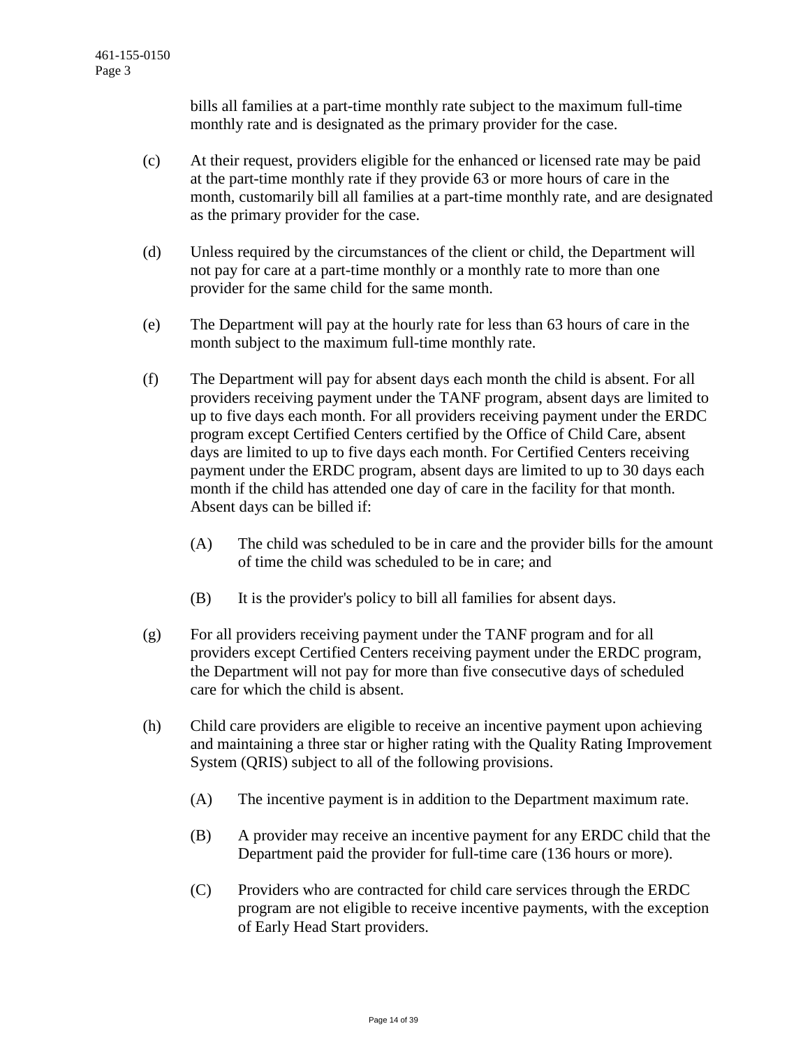bills all families at a part-time monthly rate subject to the maximum full-time monthly rate and is designated as the primary provider for the case.

- (c) At their request, providers eligible for the enhanced or licensed rate may be paid at the part-time monthly rate if they provide 63 or more hours of care in the month, customarily bill all families at a part-time monthly rate, and are designated as the primary provider for the case.
- (d) Unless required by the circumstances of the client or child, the Department will not pay for care at a part-time monthly or a monthly rate to more than one provider for the same child for the same month.
- (e) The Department will pay at the hourly rate for less than 63 hours of care in the month subject to the maximum full-time monthly rate.
- (f) The Department will pay for absent days each month the child is absent. For all providers receiving payment under the TANF program, absent days are limited to up to five days each month. For all providers receiving payment under the ERDC program except Certified Centers certified by the Office of Child Care, absent days are limited to up to five days each month. For Certified Centers receiving payment under the ERDC program, absent days are limited to up to 30 days each month if the child has attended one day of care in the facility for that month. Absent days can be billed if:
	- (A) The child was scheduled to be in care and the provider bills for the amount of time the child was scheduled to be in care; and
	- (B) It is the provider's policy to bill all families for absent days.
- (g) For all providers receiving payment under the TANF program and for all providers except Certified Centers receiving payment under the ERDC program, the Department will not pay for more than five consecutive days of scheduled care for which the child is absent.
- (h) Child care providers are eligible to receive an incentive payment upon achieving and maintaining a three star or higher rating with the Quality Rating Improvement System (QRIS) subject to all of the following provisions.
	- (A) The incentive payment is in addition to the Department maximum rate.
	- (B) A provider may receive an incentive payment for any ERDC child that the Department paid the provider for full-time care (136 hours or more).
	- (C) Providers who are contracted for child care services through the ERDC program are not eligible to receive incentive payments, with the exception of Early Head Start providers.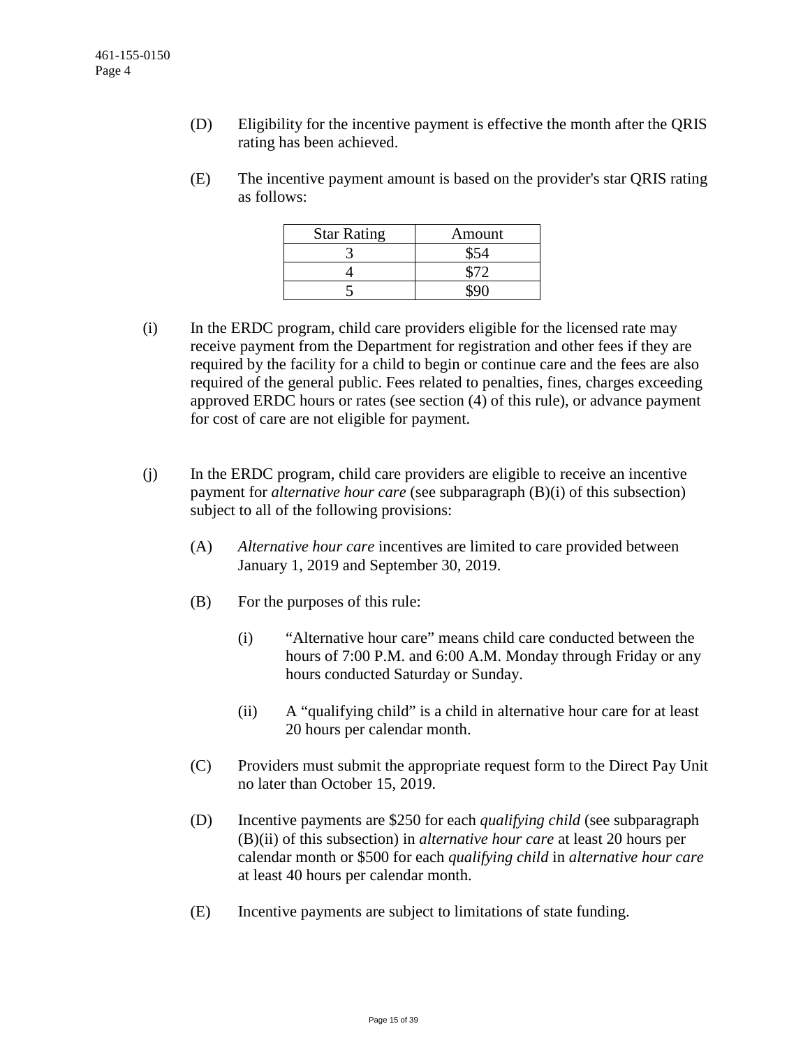- (D) Eligibility for the incentive payment is effective the month after the QRIS rating has been achieved.
- (E) The incentive payment amount is based on the provider's star QRIS rating as follows:

| <b>Star Rating</b> | Amount |
|--------------------|--------|
|                    |        |
|                    |        |
|                    |        |

- (i) In the ERDC program, child care providers eligible for the licensed rate may receive payment from the Department for registration and other fees if they are required by the facility for a child to begin or continue care and the fees are also required of the general public. Fees related to penalties, fines, charges exceeding approved ERDC hours or rates (see section (4) of this rule), or advance payment for cost of care are not eligible for payment.
- (j) In the ERDC program, child care providers are eligible to receive an incentive payment for *alternative hour care* (see subparagraph (B)(i) of this subsection) subject to all of the following provisions:
	- (A) *Alternative hour care* incentives are limited to care provided between January 1, 2019 and September 30, 2019.
	- (B) For the purposes of this rule:
		- (i) "Alternative hour care" means child care conducted between the hours of 7:00 P.M. and 6:00 A.M. Monday through Friday or any hours conducted Saturday or Sunday.
		- (ii) A "qualifying child" is a child in alternative hour care for at least 20 hours per calendar month.
	- (C) Providers must submit the appropriate request form to the Direct Pay Unit no later than October 15, 2019.
	- (D) Incentive payments are \$250 for each *qualifying child* (see subparagraph (B)(ii) of this subsection) in *alternative hour care* at least 20 hours per calendar month or \$500 for each *qualifying child* in *alternative hour care* at least 40 hours per calendar month.
	- (E) Incentive payments are subject to limitations of state funding.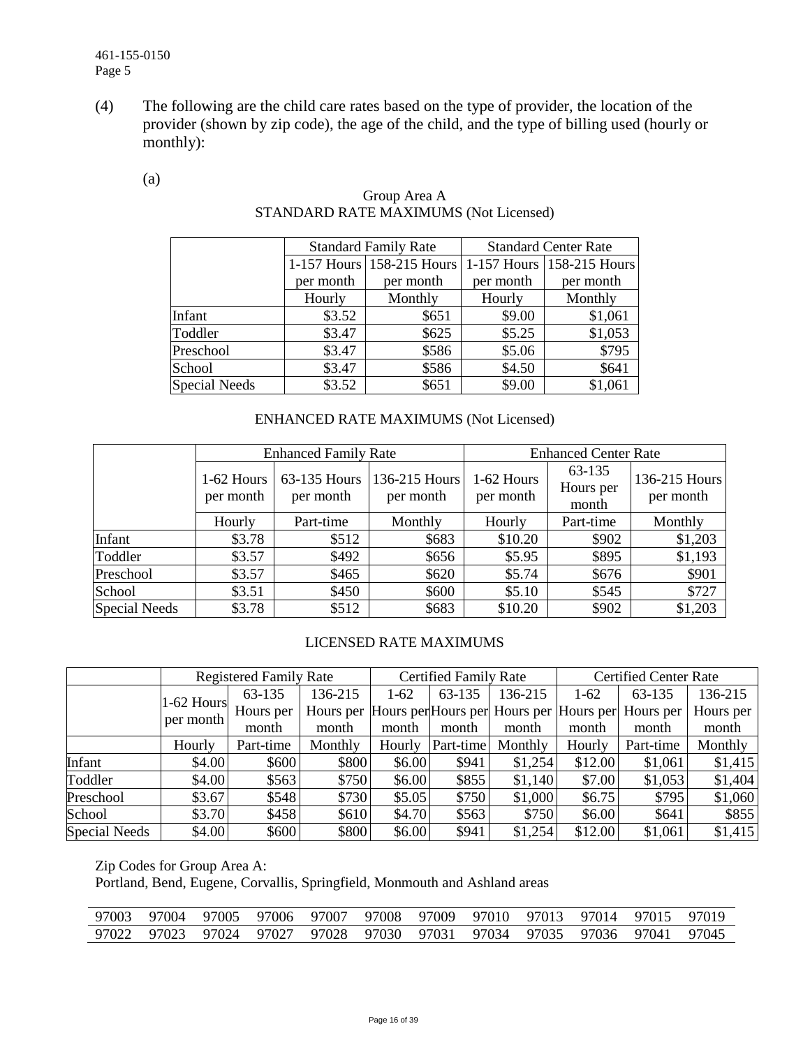(4) The following are the child care rates based on the type of provider, the location of the provider (shown by zip code), the age of the child, and the type of billing used (hourly or monthly):

#### (a)

|                      |           | <b>Standard Family Rate</b> |           | <b>Standard Center Rate</b> |
|----------------------|-----------|-----------------------------|-----------|-----------------------------|
|                      |           | 1-157 Hours 158-215 Hours   |           | 1-157 Hours 158-215 Hours   |
|                      | per month | per month                   | per month | per month                   |
|                      | Hourly    | Monthly                     | Hourly    | Monthly                     |
| Infant               | \$3.52    | \$651                       | \$9.00    | \$1,061                     |
| Toddler              | \$3.47    | \$625                       | \$5.25    | \$1,053                     |
| Preschool            | \$3.47    | \$586                       | \$5.06    | \$795                       |
| School               | \$3.47    | \$586                       | \$4.50    | \$641                       |
| <b>Special Needs</b> | \$3.52    | \$651                       | \$9.00    | \$1,061                     |

### Group Area A STANDARD RATE MAXIMUMS (Not Licensed)

### ENHANCED RATE MAXIMUMS (Not Licensed)

|                      |                         | <b>Enhanced Family Rate</b> |                            | <b>Enhanced Center Rate</b> |                              |                            |  |
|----------------------|-------------------------|-----------------------------|----------------------------|-----------------------------|------------------------------|----------------------------|--|
|                      | 1-62 Hours<br>per month | 63-135 Hours<br>per month   | 136-215 Hours<br>per month | 1-62 Hours<br>per month     | 63-135<br>Hours per<br>month | 136-215 Hours<br>per month |  |
|                      | Hourly                  | Part-time                   | Monthly                    | Hourly                      | Part-time                    | Monthly                    |  |
| Infant               | \$3.78                  | \$512                       | \$683                      | \$10.20                     | \$902                        | \$1,203                    |  |
| Toddler              | \$3.57                  | \$492                       | \$656                      | \$5.95                      | \$895                        | \$1,193                    |  |
| Preschool            | \$3.57                  | \$465                       | \$620                      | \$5.74                      | \$676                        | \$901                      |  |
| School               | \$3.51                  | \$450                       | \$600                      | \$5.10                      | \$545                        | \$727                      |  |
| <b>Special Needs</b> | \$3.78                  | \$512                       | \$683                      | \$10.20                     | \$902                        | \$1,203                    |  |

### LICENSED RATE MAXIMUMS

|                      |              | <b>Registered Family Rate</b> |         |        | <b>Certified Family Rate</b> |                                                             |         | <b>Certified Center Rate</b> |           |  |
|----------------------|--------------|-------------------------------|---------|--------|------------------------------|-------------------------------------------------------------|---------|------------------------------|-----------|--|
|                      | $1-62$ Hours | 63-135                        | 136-215 | $1-62$ | 63-135                       | 136-215                                                     | $1-62$  | 63-135                       | 136-215   |  |
|                      |              | Hours per                     |         |        |                              | Hours per Hours per Hours per Hours per Hours per Hours per |         |                              | Hours per |  |
|                      | per month    | month                         | month   | month  | month                        | month                                                       | month   | month                        | month     |  |
|                      | Hourly       | Part-time                     | Monthly | Hourly | Part-time                    | Monthly                                                     | Hourly  | Part-time                    | Monthly   |  |
| Infant               | \$4.00       | \$600                         | \$800   | \$6.00 | \$941                        | \$1,254                                                     | \$12.00 | \$1,061                      | \$1,415   |  |
| Toddler              | \$4.00       | \$563                         | \$750   | \$6.00 | \$855                        | \$1,140                                                     | \$7.00  | \$1,053                      | \$1,404   |  |
| Preschool            | \$3.67       | \$548                         | \$730   | \$5.05 | \$750                        | \$1,000                                                     | \$6.75  | \$795                        | \$1,060   |  |
| School               | \$3.70       | \$458                         | \$610   | \$4.70 | \$563                        | \$750                                                       | \$6.00  | \$641                        | \$855     |  |
| <b>Special Needs</b> | \$4.00       | \$600                         | \$800   | \$6.00 | \$941                        | \$1,254                                                     | \$12.00 | \$1,061                      | \$1,415   |  |

Zip Codes for Group Area A:

Portland, Bend, Eugene, Corvallis, Springfield, Monmouth and Ashland areas

|  |  |  | 97003 97004 97005 97006 97007 97008 97009 97010 97013 97014 97015 97019 |  |  |  |
|--|--|--|-------------------------------------------------------------------------|--|--|--|
|  |  |  | 97022 97023 97024 97027 97028 97030 97031 97034 97035 97036 97041 97045 |  |  |  |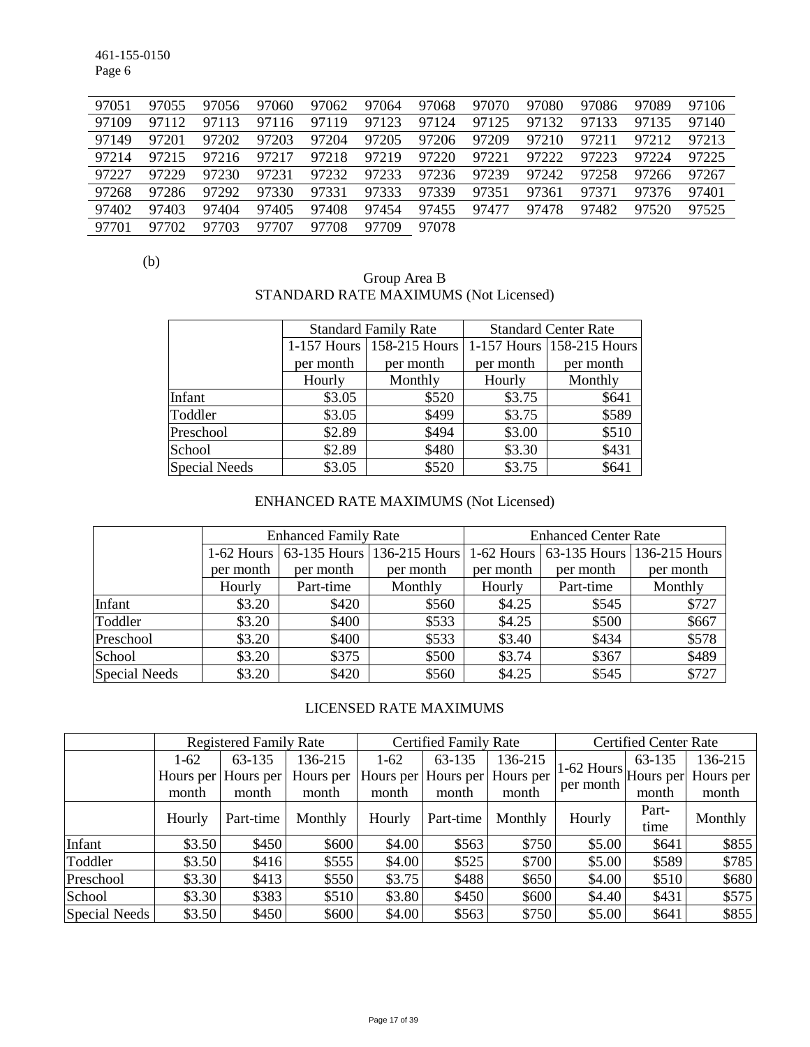461-155-0150 Page 6

| 97051 | 97055 | 97056 | 97060 | 97062 | 97064 | 97068 | 97070 | 97080 | 97086 | 97089 | 97106 |
|-------|-------|-------|-------|-------|-------|-------|-------|-------|-------|-------|-------|
| 97109 | 97112 | 97113 | 97116 | 97119 | 97123 | 97124 | 97125 | 97132 | 97133 | 97135 | 97140 |
| 97149 | 97201 | 97202 | 97203 | 97204 | 97205 | 97206 | 97209 | 97210 | 97211 | 97212 | 97213 |
| 97214 | 97215 | 97216 | 97217 | 97218 | 97219 | 97220 | 97221 | 97222 | 97223 | 97224 | 97225 |
| 97227 | 97229 | 97230 | 97231 | 97232 | 97233 | 97236 | 97239 | 97242 | 97258 | 97266 | 97267 |
| 97268 | 97286 | 97292 | 97330 | 97331 | 97333 | 97339 | 97351 | 97361 | 97371 | 97376 | 97401 |
| 97402 | 97403 | 97404 | 97405 | 97408 | 97454 | 97455 | 97477 | 97478 | 97482 | 97520 | 97525 |
| 97701 | 97702 | 97703 | 97707 | 97708 | 97709 | 97078 |       |       |       |       |       |

(b)

#### Group Area B STANDARD RATE MAXIMUMS (Not Licensed)

|                      |               | <b>Standard Family Rate</b> |           | <b>Standard Center Rate</b> |
|----------------------|---------------|-----------------------------|-----------|-----------------------------|
|                      | $1-157$ Hours | 158-215 Hours               |           | 1-157 Hours 158-215 Hours   |
|                      | per month     | per month                   | per month | per month                   |
|                      | Hourly        | Monthly                     | Hourly    | Monthly                     |
| Infant               | \$3.05        | \$520                       | \$3.75    | \$641                       |
| Toddler              | \$3.05        | \$499                       | \$3.75    | \$589                       |
| Preschool            | \$2.89        | \$494                       | \$3.00    | \$510                       |
| School               | \$2.89        | \$480                       | \$3.30    | \$431                       |
| <b>Special Needs</b> | \$3.05        | \$520                       | \$3.75    | \$641                       |

### ENHANCED RATE MAXIMUMS (Not Licensed)

|               |           | <b>Enhanced Family Rate</b> |                                                                             | <b>Enhanced Center Rate</b> |           |           |  |
|---------------|-----------|-----------------------------|-----------------------------------------------------------------------------|-----------------------------|-----------|-----------|--|
|               |           |                             | 1-62 Hours 63-135 Hours 136-215 Hours 1-62 Hours 63-135 Hours 136-215 Hours |                             |           |           |  |
|               | per month | per month                   | per month                                                                   | per month                   | per month | per month |  |
|               | Hourly    | Part-time                   | Monthly                                                                     | Hourly                      | Part-time | Monthly   |  |
| Infant        | \$3.20    | \$420                       | \$560                                                                       | \$4.25                      | \$545     | \$727     |  |
| Toddler       | \$3.20    | \$400                       | \$533                                                                       | \$4.25                      | \$500     | \$667     |  |
| Preschool     | \$3.20    | \$400                       | \$533                                                                       | \$3.40                      | \$434     | \$578     |  |
| School        | \$3.20    | \$375                       | \$500                                                                       | \$3.74                      | \$367     | \$489     |  |
| Special Needs | \$3.20    | \$420                       | \$560                                                                       | \$4.25                      | \$545     | \$727     |  |

### LICENSED RATE MAXIMUMS

|               | <b>Registered Family Rate</b> |                     |           |        | <b>Certified Family Rate</b> |           | <b>Certified Center Rate</b>              |        |           |
|---------------|-------------------------------|---------------------|-----------|--------|------------------------------|-----------|-------------------------------------------|--------|-----------|
|               | $1-62$                        | 63-135              | 136-215   | $1-62$ | 63-135                       | 136-215   |                                           | 63-135 | 136-215   |
|               |                               | Hours per Hours per | Hours per |        | Hours per Hours per          | Hours per | $11-62$ Hours $ $ Hours perl <sup>'</sup> |        | Hours per |
|               | month                         | month               | month     | month  | month                        | month     | per month                                 | month  | month     |
|               | Hourly                        | Part-time           | Monthly   | Hourly | Part-time                    | Monthly   | Hourly                                    | Part-  | Monthly   |
|               |                               |                     |           |        |                              |           |                                           | time   |           |
| Infant        | \$3.50                        | \$450               | \$600     | \$4.00 | \$563                        | \$750     | \$5.00                                    | \$641  | \$855     |
| Toddler       | \$3.50                        | \$416               | \$555     | \$4.00 | \$525                        | \$700     | \$5.00                                    | \$589  | \$785     |
| Preschool     | \$3.30                        | \$413               | \$550     | \$3.75 | \$488                        | \$650     | \$4.00                                    | \$510  | \$680     |
| School        | \$3.30                        | \$383               | \$510     | \$3.80 | \$450                        | \$600     | \$4.40                                    | \$431  | \$575     |
| Special Needs | \$3.50                        | \$450               | \$600     | \$4.00 | \$563                        | \$750     | \$5.00                                    | \$641  | \$855     |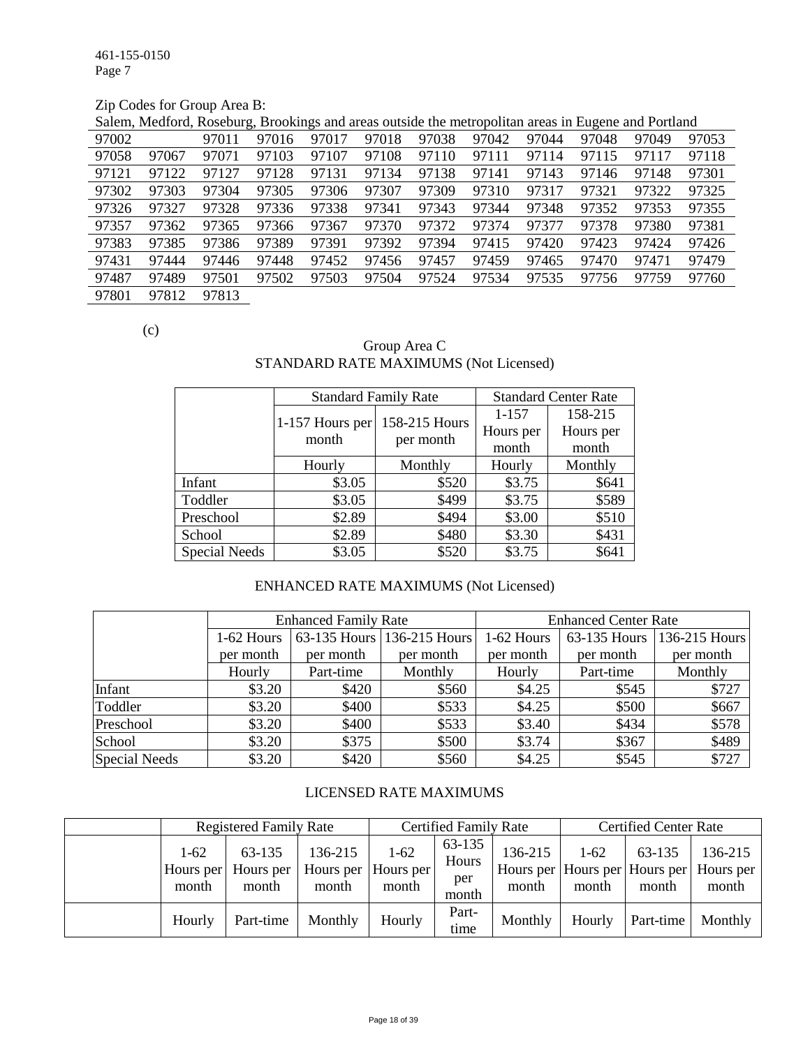461-155-0150 Page 7

## Zip Codes for Group Area B:

| Salem, Medford, Roseburg, Brookings and areas outside the metropolitan areas in Eugene and Portland |  |  |
|-----------------------------------------------------------------------------------------------------|--|--|
|                                                                                                     |  |  |

|       |       | $-21$ |       | ----  |       |       |       |       |       |       |       |
|-------|-------|-------|-------|-------|-------|-------|-------|-------|-------|-------|-------|
| 97002 |       | 97011 | 97016 | 97017 | 97018 | 97038 | 97042 | 97044 | 97048 | 97049 | 97053 |
| 97058 | 97067 | 97071 | 97103 | 97107 | 97108 | 97110 | 97111 | 97114 | 97115 | 97117 | 97118 |
| 97121 | 97122 | 97127 | 97128 | 97131 | 97134 | 97138 | 97141 | 97143 | 97146 | 97148 | 97301 |
| 97302 | 97303 | 97304 | 97305 | 97306 | 97307 | 97309 | 97310 | 97317 | 97321 | 97322 | 97325 |
| 97326 | 97327 | 97328 | 97336 | 97338 | 97341 | 97343 | 97344 | 97348 | 97352 | 97353 | 97355 |
| 97357 | 97362 | 97365 | 97366 | 97367 | 97370 | 97372 | 97374 | 97377 | 97378 | 97380 | 97381 |
| 97383 | 97385 | 97386 | 97389 | 97391 | 97392 | 97394 | 97415 | 97420 | 97423 | 97424 | 97426 |
| 97431 | 97444 | 97446 | 97448 | 97452 | 97456 | 97457 | 97459 | 97465 | 97470 | 97471 | 97479 |
| 97487 | 97489 | 97501 | 97502 | 97503 | 97504 | 97524 | 97534 | 97535 | 97756 | 97759 | 97760 |
| 97801 | 97812 | 97813 |       |       |       |       |       |       |       |       |       |

(c)

### Group Area C STANDARD RATE MAXIMUMS (Not Licensed)

|                      | <b>Standard Family Rate</b> |               | <b>Standard Center Rate</b> |           |  |
|----------------------|-----------------------------|---------------|-----------------------------|-----------|--|
|                      | 1-157 Hours per             | 158-215 Hours | $1 - 157$                   | 158-215   |  |
|                      | month                       | per month     | Hours per                   | Hours per |  |
|                      |                             |               | month                       | month     |  |
|                      | Hourly                      | Monthly       | Hourly                      | Monthly   |  |
| Infant               | \$3.05                      | \$520         | \$3.75                      | \$641     |  |
| Toddler              | \$3.05                      | \$499         | \$3.75                      | \$589     |  |
| Preschool            | \$2.89                      | \$494         | \$3.00                      | \$510     |  |
| School               | \$2.89                      | \$480         | \$3.30                      | \$431     |  |
| <b>Special Needs</b> | \$3.05                      | \$520         | \$3.75                      | \$641     |  |

### ENHANCED RATE MAXIMUMS (Not Licensed)

|               |            | <b>Enhanced Family Rate</b> |                            | <b>Enhanced Center Rate</b> |              |                 |  |
|---------------|------------|-----------------------------|----------------------------|-----------------------------|--------------|-----------------|--|
|               | 1-62 Hours |                             | 63-135 Hours 136-215 Hours | 1-62 Hours                  | 63-135 Hours | $136-215$ Hours |  |
|               | per month  | per month                   | per month                  | per month                   | per month    | per month       |  |
|               | Hourly     | Part-time                   | Monthly                    | Hourly                      | Part-time    | Monthly         |  |
| Infant        | \$3.20     | \$420                       | \$560                      | \$4.25                      | \$545        | \$727           |  |
| Toddler       | \$3.20     | \$400                       | \$533                      | \$4.25                      | \$500        | \$667           |  |
| Preschool     | \$3.20     | \$400                       | \$533                      | \$3.40                      | \$434        | \$578           |  |
| School        | \$3.20     | \$375                       | \$500                      | \$3.74                      | \$367        | \$489           |  |
| Special Needs | \$3.20     | \$420                       | \$560                      | \$4.25                      | \$545        | \$727           |  |

### LICENSED RATE MAXIMUMS

| <b>Registered Family Rate</b> |                              |                  |                                          | <b>Certified Family Rate</b>    |                  | <b>Certified Center Rate</b> |                 |                                                             |
|-------------------------------|------------------------------|------------------|------------------------------------------|---------------------------------|------------------|------------------------------|-----------------|-------------------------------------------------------------|
| $1-62$<br>Hours per<br>month  | 63-135<br>Hours per<br>month | 136-215<br>month | $1 - 62$<br>Hours per Hours per<br>month | 63-135<br>Hours<br>per<br>month | 136-215<br>month | $1-62$<br>month              | 63-135<br>month | 136-215<br>Hours per Hours per Hours per Hours per<br>month |
| Hourly                        | Part-time                    | Monthly          | Hourly                                   | Part-<br>time                   | Monthly          | Hourly                       | Part-time       | Monthly                                                     |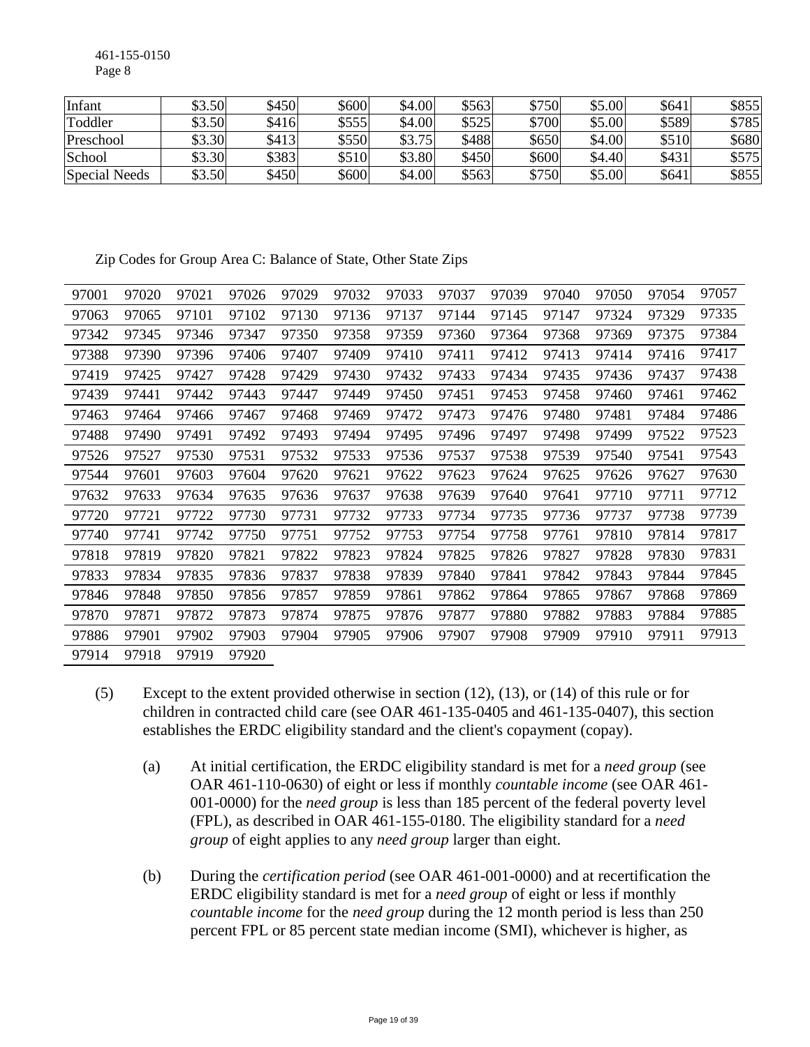461-155-0150 Page 8

| Infant               | \$3.50 | \$450 | \$600 | \$4.00 | \$563 | \$750 | \$5.00 | \$641 | \$855 |
|----------------------|--------|-------|-------|--------|-------|-------|--------|-------|-------|
| Toddler              | \$3.50 | \$416 | \$555 | \$4.00 | \$525 | \$700 | \$5.00 | \$589 | \$785 |
| Preschool            | \$3.30 | \$413 | \$550 | \$3.75 | \$488 | \$650 | \$4.00 | \$510 | \$680 |
| School               | \$3.30 | \$383 | \$510 | \$3.80 | \$450 | \$600 | \$4.40 | \$431 | \$575 |
| <b>Special Needs</b> | \$3.50 | \$450 | \$600 | \$4.00 | \$563 | \$750 | \$5.00 | \$641 | \$855 |

Zip Codes for Group Area C: Balance of State, Other State Zips

| 97001 | 97020 | 97021 | 97026 | 97029 | 97032 | 97033 | 97037 | 97039 | 97040 | 97050 | 97054 | 97057 |
|-------|-------|-------|-------|-------|-------|-------|-------|-------|-------|-------|-------|-------|
| 97063 | 97065 | 97101 | 97102 | 97130 | 97136 | 97137 | 97144 | 97145 | 97147 | 97324 | 97329 | 97335 |
| 97342 | 97345 | 97346 | 97347 | 97350 | 97358 | 97359 | 97360 | 97364 | 97368 | 97369 | 97375 | 97384 |
| 97388 | 97390 | 97396 | 97406 | 97407 | 97409 | 97410 | 97411 | 97412 | 97413 | 97414 | 97416 | 97417 |
| 97419 | 97425 | 97427 | 97428 | 97429 | 97430 | 97432 | 97433 | 97434 | 97435 | 97436 | 97437 | 97438 |
| 97439 | 97441 | 97442 | 97443 | 97447 | 97449 | 97450 | 97451 | 97453 | 97458 | 97460 | 97461 | 97462 |
| 97463 | 97464 | 97466 | 97467 | 97468 | 97469 | 97472 | 97473 | 97476 | 97480 | 97481 | 97484 | 97486 |
| 97488 | 97490 | 97491 | 97492 | 97493 | 97494 | 97495 | 97496 | 97497 | 97498 | 97499 | 97522 | 97523 |
| 97526 | 97527 | 97530 | 97531 | 97532 | 97533 | 97536 | 97537 | 97538 | 97539 | 97540 | 97541 | 97543 |
| 97544 | 97601 | 97603 | 97604 | 97620 | 97621 | 97622 | 97623 | 97624 | 97625 | 97626 | 97627 | 97630 |
| 97632 | 97633 | 97634 | 97635 | 97636 | 97637 | 97638 | 97639 | 97640 | 97641 | 97710 | 97711 | 97712 |
| 97720 | 97721 | 97722 | 97730 | 97731 | 97732 | 97733 | 97734 | 97735 | 97736 | 97737 | 97738 | 97739 |
| 97740 | 97741 | 97742 | 97750 | 97751 | 97752 | 97753 | 97754 | 97758 | 97761 | 97810 | 97814 | 97817 |
| 97818 | 97819 | 97820 | 97821 | 97822 | 97823 | 97824 | 97825 | 97826 | 97827 | 97828 | 97830 | 97831 |
| 97833 | 97834 | 97835 | 97836 | 97837 | 97838 | 97839 | 97840 | 97841 | 97842 | 97843 | 97844 | 97845 |
| 97846 | 97848 | 97850 | 97856 | 97857 | 97859 | 97861 | 97862 | 97864 | 97865 | 97867 | 97868 | 97869 |
| 97870 | 97871 | 97872 | 97873 | 97874 | 97875 | 97876 | 97877 | 97880 | 97882 | 97883 | 97884 | 97885 |
| 97886 | 97901 | 97902 | 97903 | 97904 | 97905 | 97906 | 97907 | 97908 | 97909 | 97910 | 97911 | 97913 |
| 97914 | 97918 | 97919 | 97920 |       |       |       |       |       |       |       |       |       |

- (5) Except to the extent provided otherwise in section (12), (13), or (14) of this rule or for children in contracted child care (see OAR 461-135-0405 and 461-135-0407), this section establishes the ERDC eligibility standard and the client's copayment (copay).
	- (a) At initial certification, the ERDC eligibility standard is met for a *need group* (see OAR 461-110-0630) of eight or less if monthly *countable income* (see OAR 461- 001-0000) for the *need group* is less than 185 percent of the federal poverty level (FPL), as described in OAR 461-155-0180. The eligibility standard for a *need group* of eight applies to any *need group* larger than eight.
	- (b) During the *certification period* (see OAR 461-001-0000) and at recertification the ERDC eligibility standard is met for a *need group* of eight or less if monthly *countable income* for the *need group* during the 12 month period is less than 250 percent FPL or 85 percent state median income (SMI), whichever is higher, as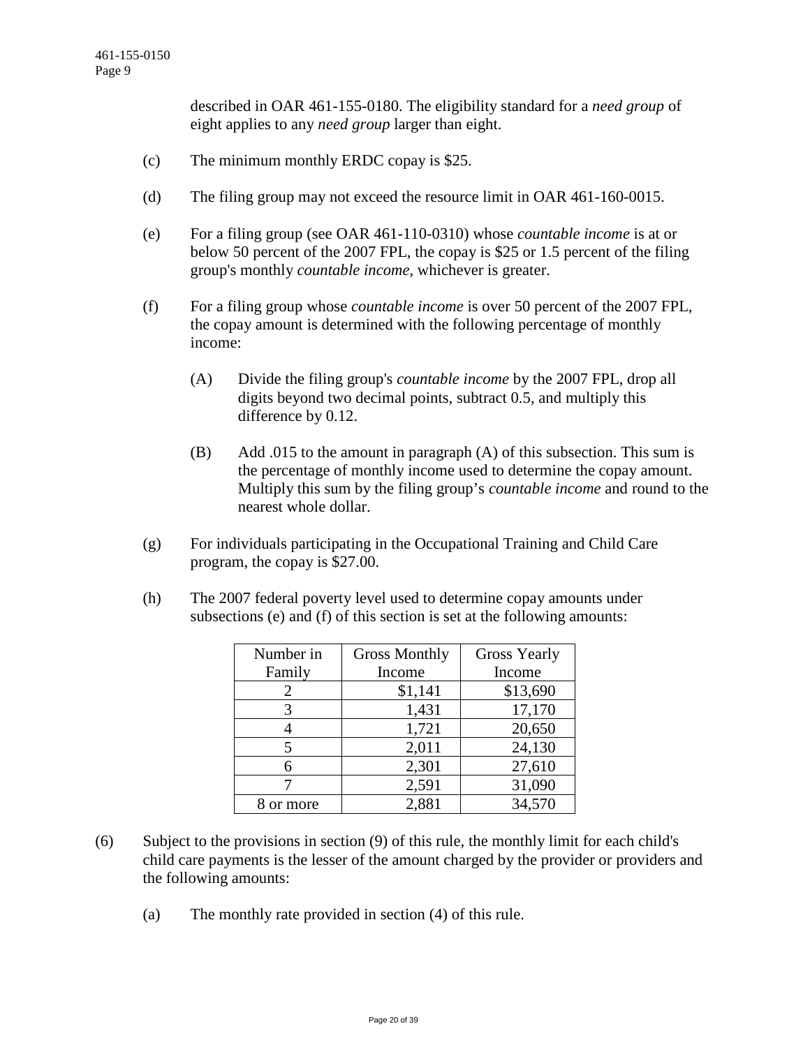described in OAR 461-155-0180. The eligibility standard for a *need group* of eight applies to any *need group* larger than eight.

- (c) The minimum monthly ERDC copay is \$25.
- (d) The filing group may not exceed the resource limit in OAR 461-160-0015.
- (e) For a filing group (see OAR 461-110-0310) whose *countable income* is at or below 50 percent of the 2007 FPL, the copay is \$25 or 1.5 percent of the filing group's monthly *countable income*, whichever is greater.
- (f) For a filing group whose *countable income* is over 50 percent of the 2007 FPL, the copay amount is determined with the following percentage of monthly income:
	- (A) Divide the filing group's *countable income* by the 2007 FPL, drop all digits beyond two decimal points, subtract 0.5, and multiply this difference by 0.12.
	- (B) Add .015 to the amount in paragraph (A) of this subsection. This sum is the percentage of monthly income used to determine the copay amount. Multiply this sum by the filing group's *countable income* and round to the nearest whole dollar.
- (g) For individuals participating in the Occupational Training and Child Care program, the copay is \$27.00.
- (h) The 2007 federal poverty level used to determine copay amounts under subsections (e) and (f) of this section is set at the following amounts:

| Number in | <b>Gross Monthly</b> | <b>Gross Yearly</b> |
|-----------|----------------------|---------------------|
| Family    | Income               | Income              |
| 2         | \$1,141              | \$13,690            |
| 3         | 1,431                | 17,170              |
|           | 1,721                | 20,650              |
| 5         | 2,011                | 24,130              |
| 6         | 2,301                | 27,610              |
|           | 2,591                | 31,090              |
| or more   | 2,881                | 34,570              |

- (6) Subject to the provisions in section (9) of this rule, the monthly limit for each child's child care payments is the lesser of the amount charged by the provider or providers and the following amounts:
	- (a) The monthly rate provided in section (4) of this rule.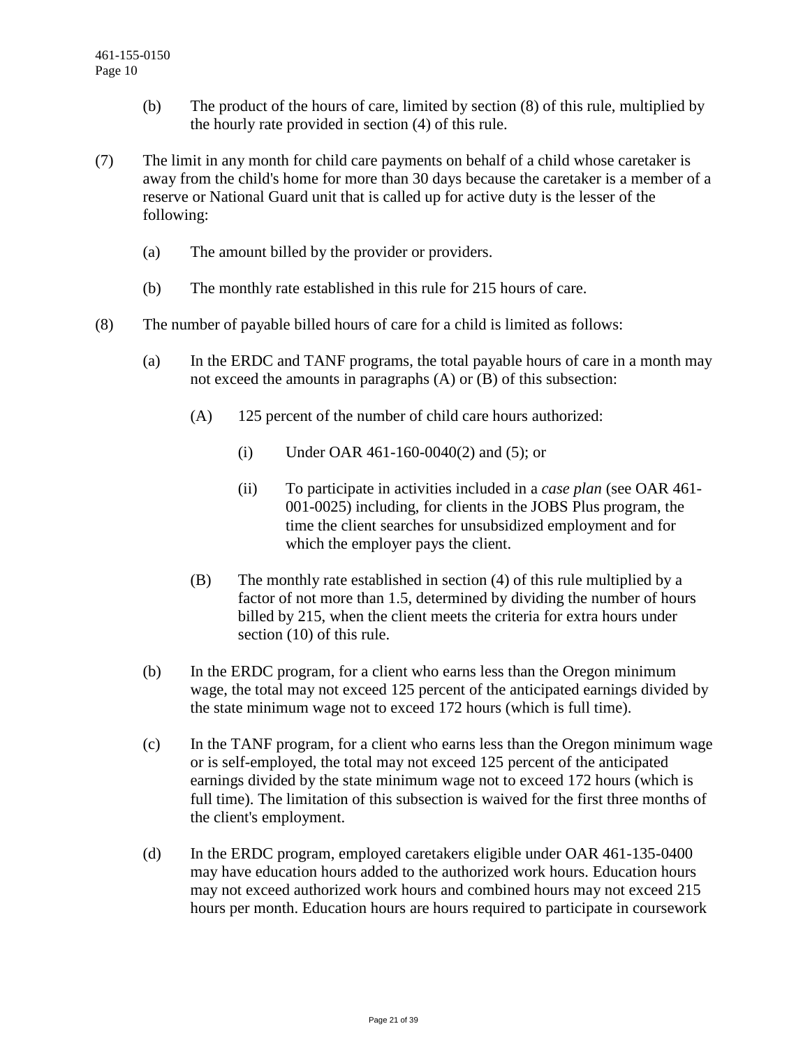- (b) The product of the hours of care, limited by section (8) of this rule, multiplied by the hourly rate provided in section (4) of this rule.
- (7) The limit in any month for child care payments on behalf of a child whose caretaker is away from the child's home for more than 30 days because the caretaker is a member of a reserve or National Guard unit that is called up for active duty is the lesser of the following:
	- (a) The amount billed by the provider or providers.
	- (b) The monthly rate established in this rule for 215 hours of care.
- (8) The number of payable billed hours of care for a child is limited as follows:
	- (a) In the ERDC and TANF programs, the total payable hours of care in a month may not exceed the amounts in paragraphs (A) or (B) of this subsection:
		- (A) 125 percent of the number of child care hours authorized:
			- (i) Under OAR 461-160-0040(2) and (5); or
			- (ii) To participate in activities included in a *case plan* (see OAR 461- 001-0025) including, for clients in the JOBS Plus program, the time the client searches for unsubsidized employment and for which the employer pays the client.
		- (B) The monthly rate established in section (4) of this rule multiplied by a factor of not more than 1.5, determined by dividing the number of hours billed by 215, when the client meets the criteria for extra hours under section (10) of this rule.
	- (b) In the ERDC program, for a client who earns less than the Oregon minimum wage, the total may not exceed 125 percent of the anticipated earnings divided by the state minimum wage not to exceed 172 hours (which is full time).
	- (c) In the TANF program, for a client who earns less than the Oregon minimum wage or is self-employed, the total may not exceed 125 percent of the anticipated earnings divided by the state minimum wage not to exceed 172 hours (which is full time). The limitation of this subsection is waived for the first three months of the client's employment.
	- (d) In the ERDC program, employed caretakers eligible under OAR 461-135-0400 may have education hours added to the authorized work hours. Education hours may not exceed authorized work hours and combined hours may not exceed 215 hours per month. Education hours are hours required to participate in coursework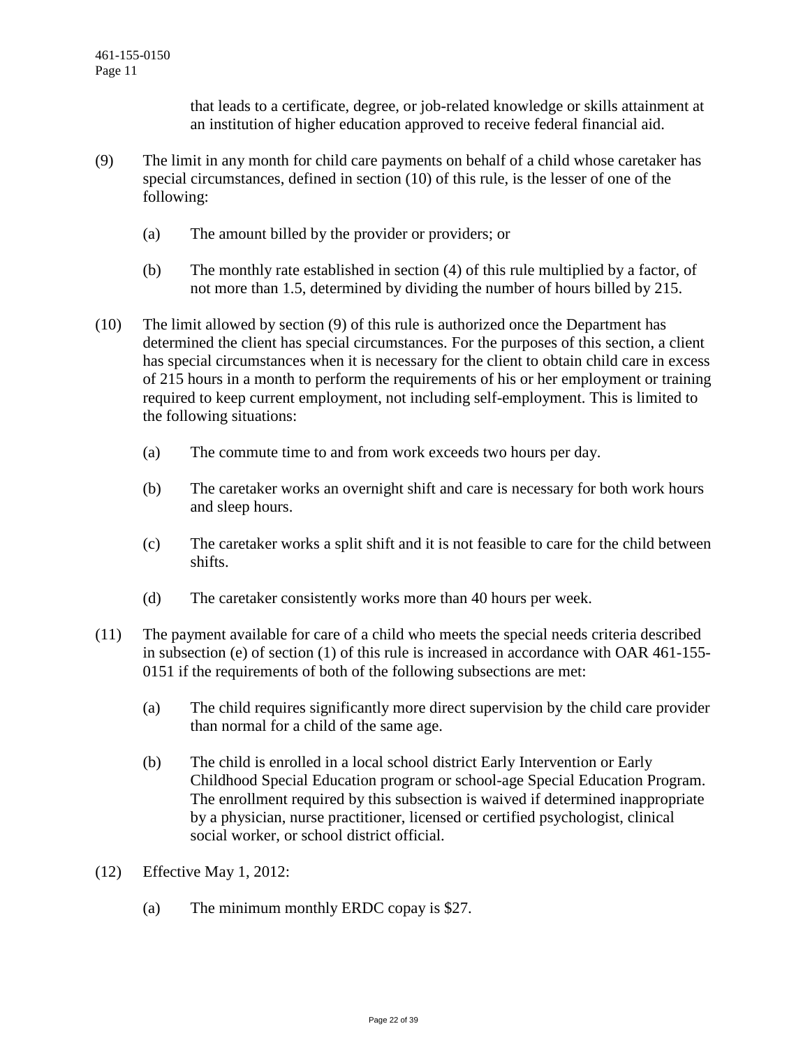that leads to a certificate, degree, or job-related knowledge or skills attainment at an institution of higher education approved to receive federal financial aid.

- (9) The limit in any month for child care payments on behalf of a child whose caretaker has special circumstances, defined in section (10) of this rule, is the lesser of one of the following:
	- (a) The amount billed by the provider or providers; or
	- (b) The monthly rate established in section (4) of this rule multiplied by a factor, of not more than 1.5, determined by dividing the number of hours billed by 215.
- (10) The limit allowed by section (9) of this rule is authorized once the Department has determined the client has special circumstances. For the purposes of this section, a client has special circumstances when it is necessary for the client to obtain child care in excess of 215 hours in a month to perform the requirements of his or her employment or training required to keep current employment, not including self-employment. This is limited to the following situations:
	- (a) The commute time to and from work exceeds two hours per day.
	- (b) The caretaker works an overnight shift and care is necessary for both work hours and sleep hours.
	- (c) The caretaker works a split shift and it is not feasible to care for the child between shifts.
	- (d) The caretaker consistently works more than 40 hours per week.
- (11) The payment available for care of a child who meets the special needs criteria described in subsection (e) of section (1) of this rule is increased in accordance with OAR 461-155- 0151 if the requirements of both of the following subsections are met:
	- (a) The child requires significantly more direct supervision by the child care provider than normal for a child of the same age.
	- (b) The child is enrolled in a local school district Early Intervention or Early Childhood Special Education program or school-age Special Education Program. The enrollment required by this subsection is waived if determined inappropriate by a physician, nurse practitioner, licensed or certified psychologist, clinical social worker, or school district official.
- (12) Effective May 1, 2012:
	- (a) The minimum monthly ERDC copay is \$27.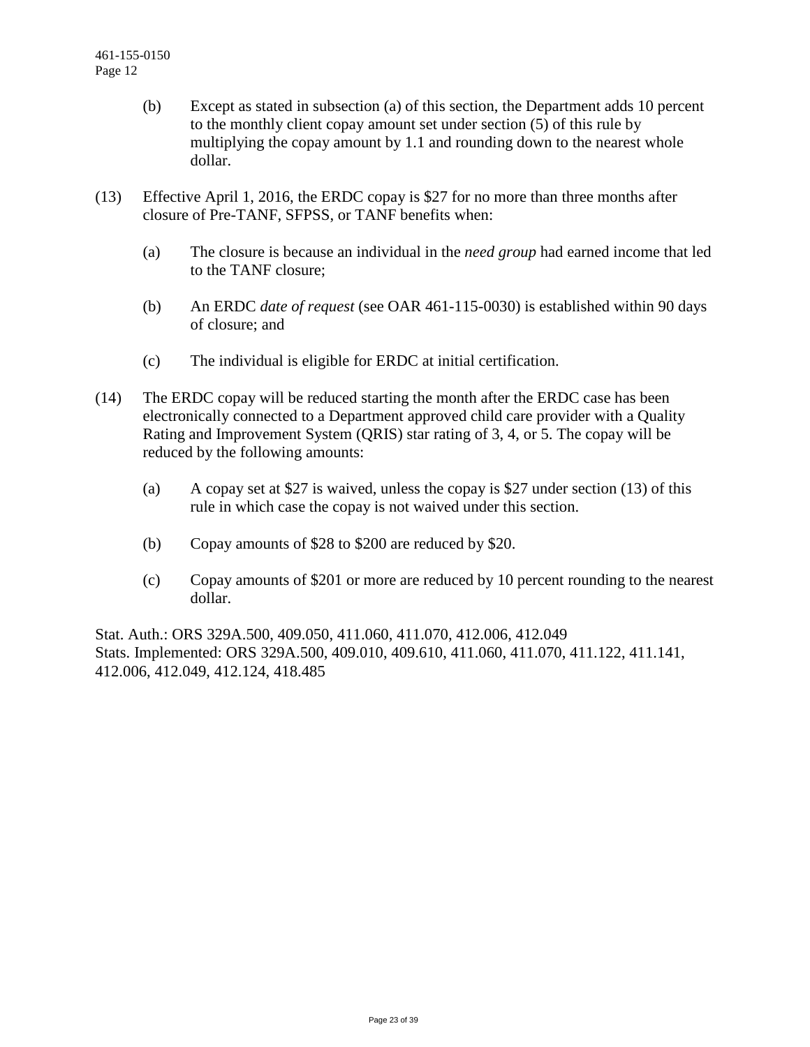- (b) Except as stated in subsection (a) of this section, the Department adds 10 percent to the monthly client copay amount set under section (5) of this rule by multiplying the copay amount by 1.1 and rounding down to the nearest whole dollar.
- (13) Effective April 1, 2016, the ERDC copay is \$27 for no more than three months after closure of Pre-TANF, SFPSS, or TANF benefits when:
	- (a) The closure is because an individual in the *need group* had earned income that led to the TANF closure;
	- (b) An ERDC *date of request* (see OAR 461-115-0030) is established within 90 days of closure; and
	- (c) The individual is eligible for ERDC at initial certification.
- (14) The ERDC copay will be reduced starting the month after the ERDC case has been electronically connected to a Department approved child care provider with a Quality Rating and Improvement System (QRIS) star rating of 3, 4, or 5. The copay will be reduced by the following amounts:
	- (a) A copay set at \$27 is waived, unless the copay is \$27 under section (13) of this rule in which case the copay is not waived under this section.
	- (b) Copay amounts of \$28 to \$200 are reduced by \$20.
	- (c) Copay amounts of \$201 or more are reduced by 10 percent rounding to the nearest dollar.

Stat. Auth.: ORS 329A.500, 409.050, 411.060, 411.070, 412.006, 412.049 Stats. Implemented: ORS 329A.500, 409.010, 409.610, 411.060, 411.070, 411.122, 411.141, 412.006, 412.049, 412.124, 418.485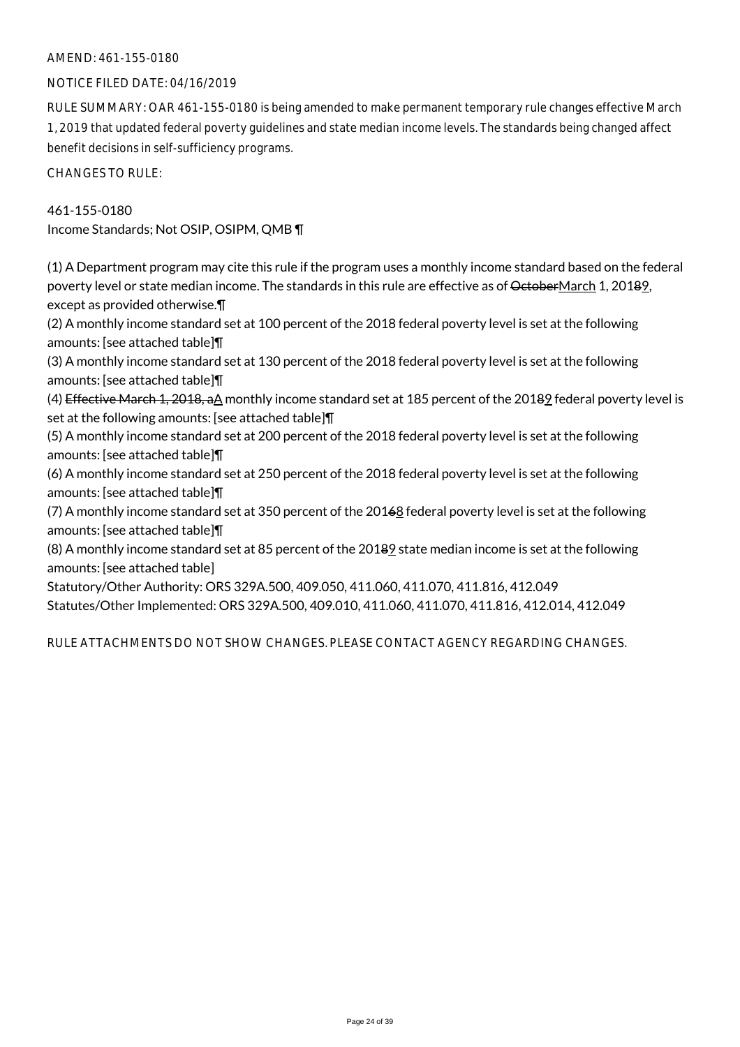### AMEND: 461-155-0180

### NOTICE FILED DATE: 04/16/2019

RULE SUMMARY: OAR 461-155-0180 is being amended to make permanent temporary rule changes effective March 1, 2019 that updated federal poverty guidelines and state median income levels. The standards being changed affect benefit decisions in self-sufficiency programs.

CHANGES TO RULE:

461-155-0180 Income Standards; Not OSIP, OSIPM, QMB ¶

(1) A Department program may cite this rule if the program uses a monthly income standard based on the federal poverty level or state median income. The standards in this rule are effective as of OctoberMarch 1, 20182, except as provided otherwise.¶

(2) A monthly income standard set at 100 percent of the 2018 federal poverty level is set at the following amounts: [see attached table]¶

(3) A monthly income standard set at 130 percent of the 2018 federal poverty level is set at the following amounts: [see attached table]¶

(4) Effective March 1, 2018, aA monthly income standard set at 185 percent of the 20189 federal poverty level is set at the following amounts: [see attached table]¶

(5) A monthly income standard set at 200 percent of the 2018 federal poverty level is set at the following amounts: [see attached table]¶

(6) A monthly income standard set at 250 percent of the 2018 federal poverty level is set at the following amounts: [see attached table]¶

(7) A monthly income standard set at 350 percent of the 20168 federal poverty level is set at the following amounts: [see attached table]¶

(8) A monthly income standard set at 85 percent of the 20189 state median income is set at the following amounts: [see attached table]

Statutory/Other Authority: ORS 329A.500, 409.050, 411.060, 411.070, 411.816, 412.049 Statutes/Other Implemented: ORS 329A.500, 409.010, 411.060, 411.070, 411.816, 412.014, 412.049

RULE ATTACHMENTS DO NOT SHOW CHANGES. PLEASE CONTACT AGENCY REGARDING CHANGES.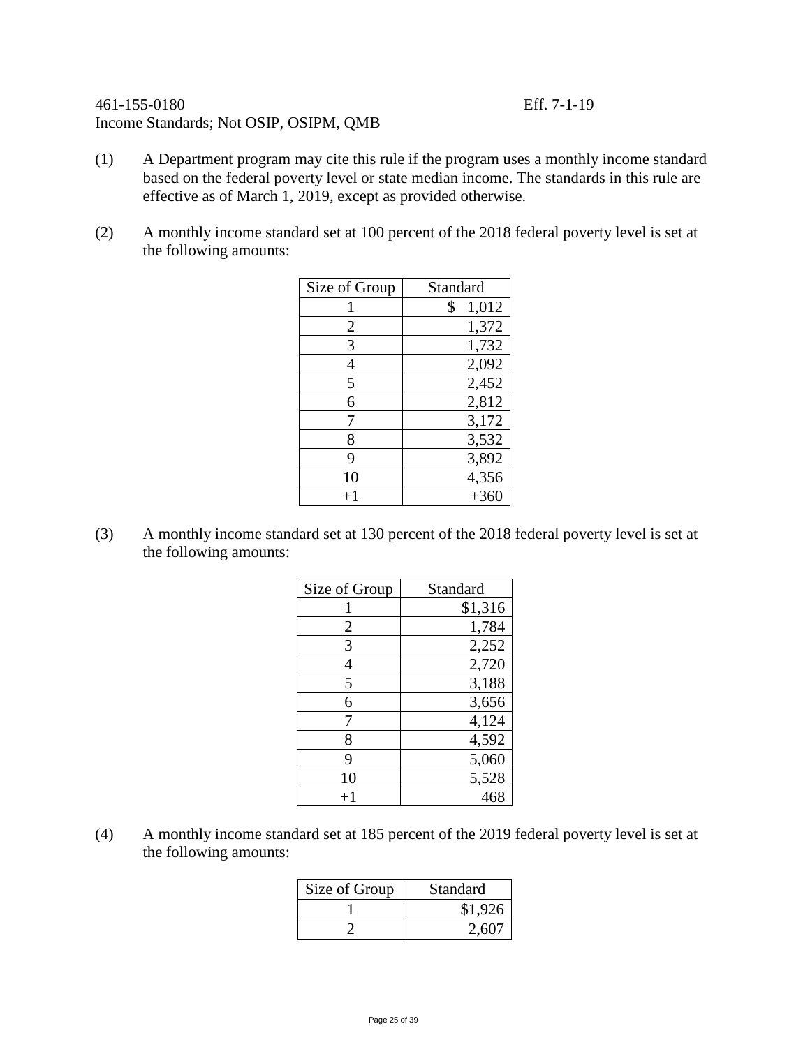### 461-155-0180 Eff. 7-1-19 Income Standards; Not OSIP, OSIPM, QMB

- (1) A Department program may cite this rule if the program uses a monthly income standard based on the federal poverty level or state median income. The standards in this rule are effective as of March 1, 2019, except as provided otherwise.
- (2) A monthly income standard set at 100 percent of the 2018 federal poverty level is set at the following amounts:

| Size of Group | Standard    |
|---------------|-------------|
|               | 1,012<br>\$ |
| 2             | 1,372       |
| 3             | 1,732       |
| 4             | 2,092       |
| 5             | 2,452       |
| 6             | 2,812       |
| 7             | 3,172       |
| 8             | 3,532       |
| 9             | 3,892       |
| 10            | 4,356       |
| $+1$          | $+360$      |

(3) A monthly income standard set at 130 percent of the 2018 federal poverty level is set at the following amounts:

| Size of Group | Standard |
|---------------|----------|
|               | \$1,316  |
| 2             | 1,784    |
| 3             | 2,252    |
| 4             | 2,720    |
| 5             | 3,188    |
| 6             | 3,656    |
|               | 4,124    |
| 8             | 4,592    |
| 9             | 5,060    |
| 10            | 5,528    |
| $^{+1}$       | 468      |

(4) A monthly income standard set at 185 percent of the 2019 federal poverty level is set at the following amounts:

| Size of Group | Standard |
|---------------|----------|
|               | \$1,926  |
|               | 2.607    |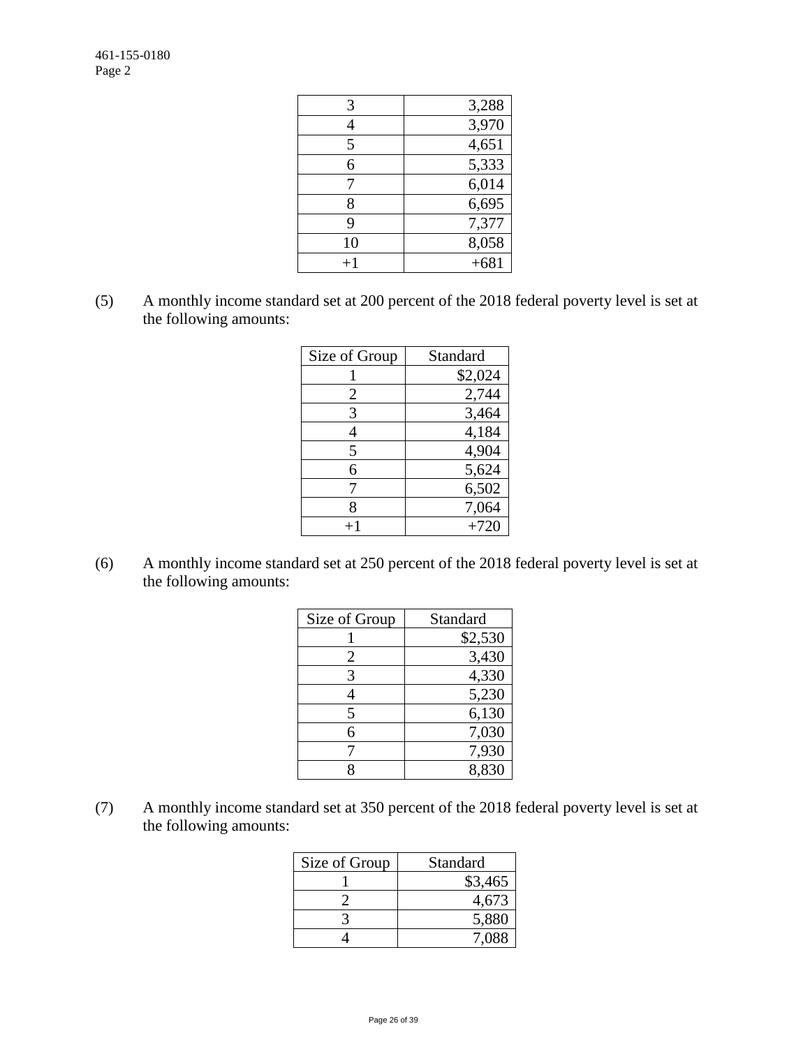| 3,288  |
|--------|
| 3,970  |
| 4,651  |
| 5,333  |
| 6,014  |
| 6,695  |
| 7,377  |
| 8,058  |
| $+681$ |
|        |

(5) A monthly income standard set at 200 percent of the 2018 federal poverty level is set at the following amounts:

| Size of Group | Standard |
|---------------|----------|
|               | \$2,024  |
| 2             | 2,744    |
| 3             | 3,464    |
| 4             | 4,184    |
| 5             | 4,904    |
| 6             | 5,624    |
| 7             | 6,502    |
| 8             | 7,064    |
|               | $+720$   |

(6) A monthly income standard set at 250 percent of the 2018 federal poverty level is set at the following amounts:

| Size of Group | Standard |
|---------------|----------|
|               | \$2,530  |
| 2             | 3,430    |
| 3             | 4,330    |
| 4             | 5,230    |
| 5             | 6,130    |
| 6             | 7,030    |
|               | 7,930    |
| X             | 8,830    |

(7) A monthly income standard set at 350 percent of the 2018 federal poverty level is set at the following amounts:

| Size of Group | Standard |
|---------------|----------|
|               | \$3,465  |
|               | 4,673    |
|               | 5,880    |
|               | 7.088    |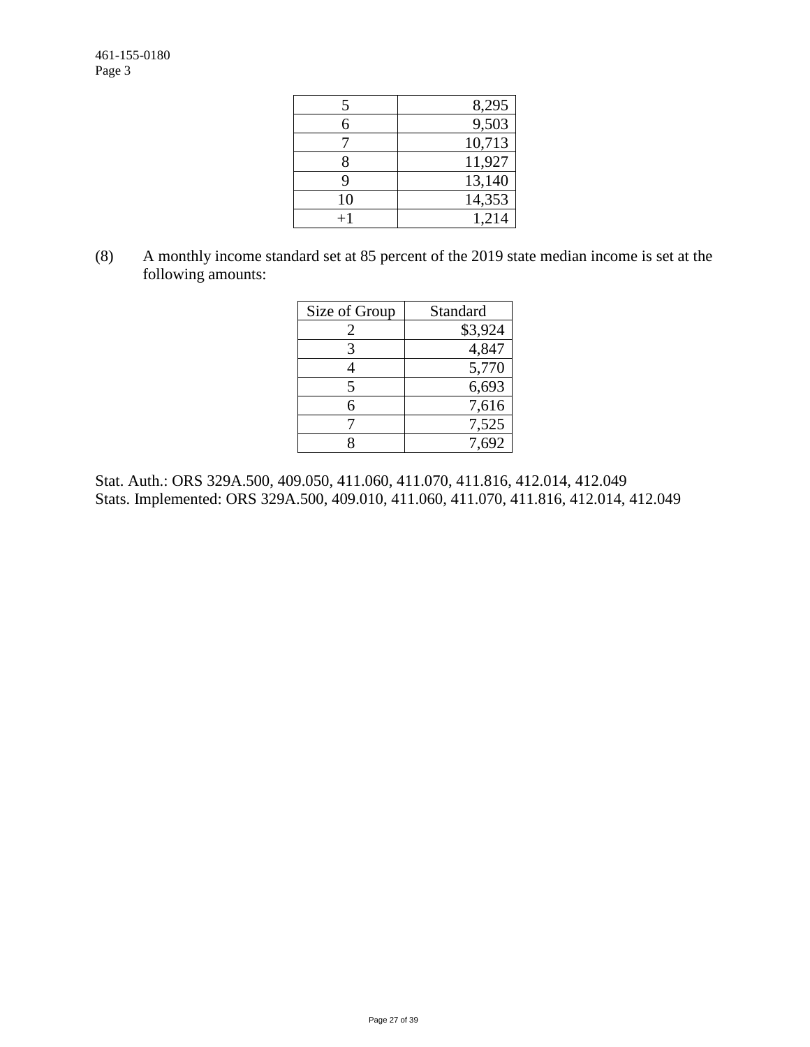| 5  | 8,295  |
|----|--------|
| 6  | 9,503  |
|    | 10,713 |
| 8  | 11,927 |
| 9  | 13,140 |
| 10 | 14,353 |
|    | 1.214  |

(8) A monthly income standard set at 85 percent of the 2019 state median income is set at the following amounts:

| Size of Group  | Standard |
|----------------|----------|
| $\overline{2}$ | \$3,924  |
| 3              | 4,847    |
|                | 5,770    |
| 5              | 6,693    |
| 6              | 7,616    |
|                | 7,525    |
|                | 7,692    |

Stat. Auth.: ORS 329A.500, 409.050, 411.060, 411.070, 411.816, 412.014, 412.049 Stats. Implemented: ORS 329A.500, 409.010, 411.060, 411.070, 411.816, 412.014, 412.049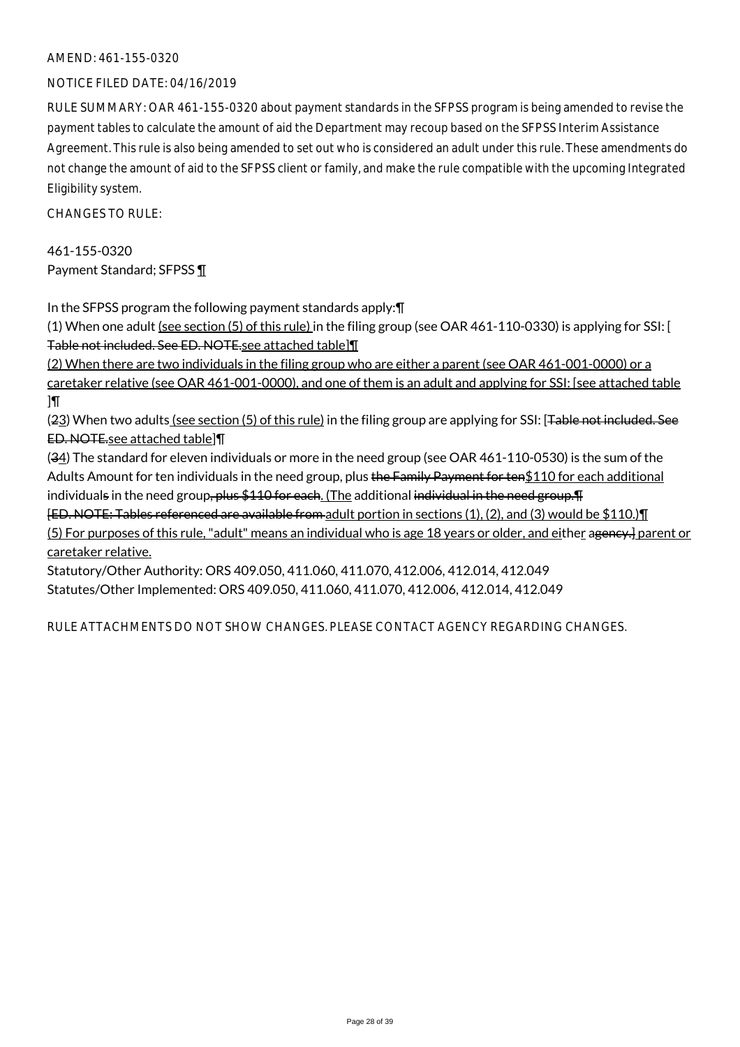### AMEND: 461-155-0320

### NOTICE FILED DATE: 04/16/2019

RULE SUMMARY: OAR 461-155-0320 about payment standards in the SFPSS program is being amended to revise the payment tables to calculate the amount of aid the Department may recoup based on the SFPSS Interim Assistance Agreement. This rule is also being amended to set out who is considered an adult under this rule. These amendments do not change the amount of aid to the SFPSS client or family, and make the rule compatible with the upcoming Integrated Eligibility system.

 $CHANGESTORUIF$ 

461-155-0320 Payment Standard; SFPSS ¶

In the SFPSS program the following payment standards apply:¶

(1) When one adult (see section (5) of this rule) in the filing group (see OAR 461-110-0330) is applying for SSI: [ Table not included. See ED. NOTE.see attached table]¶

(2) When there are two individuals in the filing group who are either a parent (see OAR 461-001-0000) or a caretaker relative (see OAR 461-001-0000), and one of them is an adult and applying for SSI: [see attached table  $\overline{\mathbb{I}}$ 

(23) When two adults (see section (5) of this rule) in the filing group are applying for SSI: [Table not included. See ED. NOTE.see attached table]¶

(34) The standard for eleven individuals or more in the need group (see OAR 461-110-0530) is the sum of the Adults Amount for ten individuals in the need group, plus the Family Payment for ten\$110 for each additional individuals in the need group, plus \$110 for each. (The additional individual in the need group. The

[ED. NOTE: Tables referenced are available from adult portion in sections (1), (2), and (3) would be \$110.)¶ (5) For purposes of this rule, "adult" means an individual who is age 18 years or older, and either ageney.] parent or caretaker relative.

Statutory/Other Authority: ORS 409.050, 411.060, 411.070, 412.006, 412.014, 412.049 Statutes/Other Implemented: ORS 409.050, 411.060, 411.070, 412.006, 412.014, 412.049

RULE ATTACHMENTS DO NOT SHOW CHANGES. PLEASE CONTACT AGENCY REGARDING CHANGES.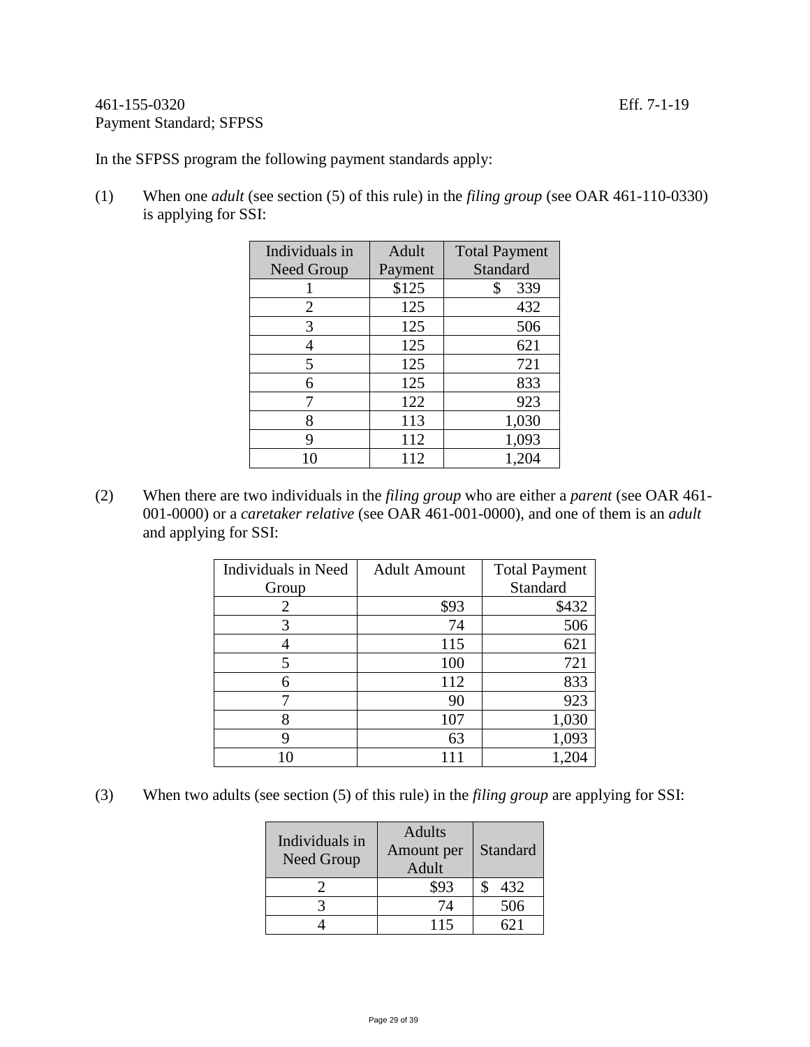### 461-155-0320 Eff. 7-1-19 Payment Standard; SFPSS

In the SFPSS program the following payment standards apply:

(1) When one *adult* (see section (5) of this rule) in the *filing group* (see OAR 461-110-0330) is applying for SSI:

| Individuals in | Adult   | <b>Total Payment</b> |
|----------------|---------|----------------------|
| Need Group     | Payment | Standard             |
|                | \$125   | \$<br>339            |
| 2              | 125     | 432                  |
| 3              | 125     | 506                  |
| 4              | 125     | 621                  |
| 5              | 125     | 721                  |
| 6              | 125     | 833                  |
|                | 122     | 923                  |
| 8              | 113     | 1,030                |
| 9              | 112     | 1,093                |
|                | 112     | 1,204                |

(2) When there are two individuals in the *filing group* who are either a *parent* (see OAR 461- 001-0000) or a *caretaker relative* (see OAR 461-001-0000), and one of them is an *adult* and applying for SSI:

| Individuals in Need | <b>Adult Amount</b> | <b>Total Payment</b> |
|---------------------|---------------------|----------------------|
| Group               |                     | Standard             |
| 2                   | \$93                | \$432                |
| 3                   | 74                  | 506                  |
|                     | 115                 | 621                  |
| 5                   | 100                 | 721                  |
| 6                   | 112                 | 833                  |
|                     | 90                  | 923                  |
| 8                   | 107                 | 1,030                |
| g                   | 63                  | 1,093                |
|                     |                     |                      |

(3) When two adults (see section (5) of this rule) in the *filing group* are applying for SSI:

| Individuals in<br><b>Need Group</b> | <b>Adults</b><br>Amount per<br>Adult | Standard |
|-------------------------------------|--------------------------------------|----------|
|                                     | \$93                                 | 432      |
|                                     | 74                                   | 506      |
|                                     | 115                                  |          |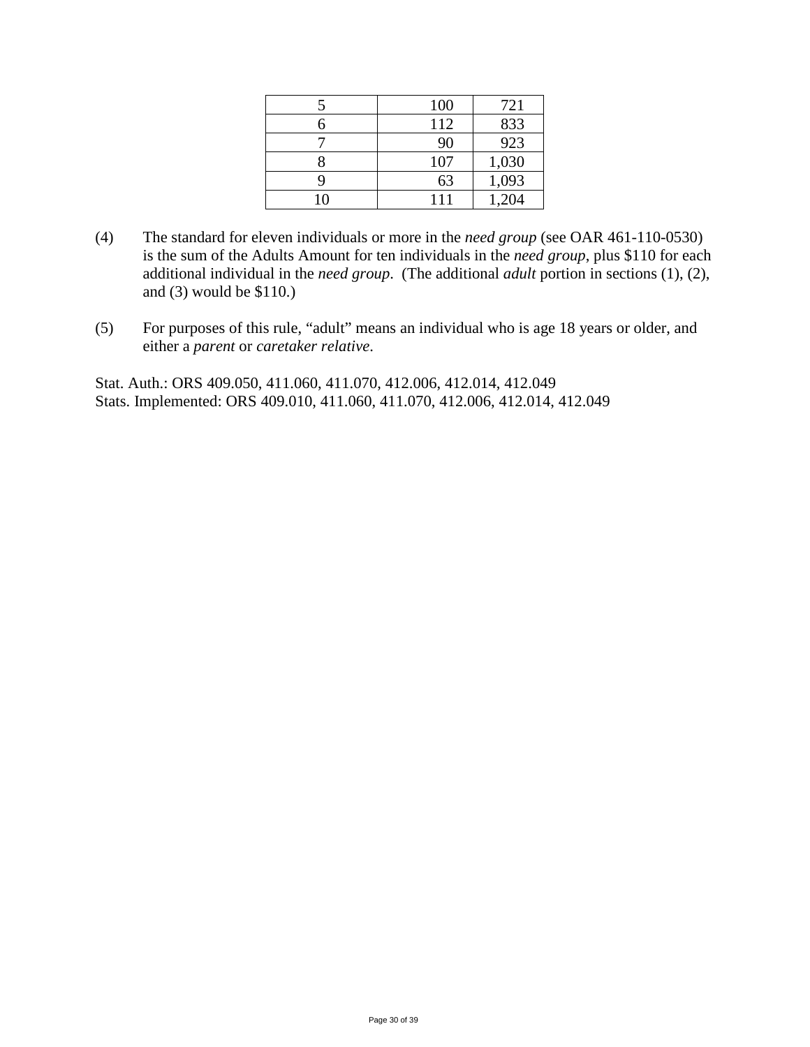| 100 | 721   |
|-----|-------|
| 112 | 833   |
| 90  | 923   |
| 107 | 1,030 |
| 63  | 1,093 |
| 111 | 1,204 |

- (4) The standard for eleven individuals or more in the *need group* (see OAR 461-110-0530) is the sum of the Adults Amount for ten individuals in the *need group*, plus \$110 for each additional individual in the *need group*. (The additional *adult* portion in sections (1), (2), and (3) would be \$110.)
- (5) For purposes of this rule, "adult" means an individual who is age 18 years or older, and either a *parent* or *caretaker relative*.

Stat. Auth.: ORS 409.050, 411.060, 411.070, 412.006, 412.014, 412.049 Stats. Implemented: ORS 409.010, 411.060, 411.070, 412.006, 412.014, 412.049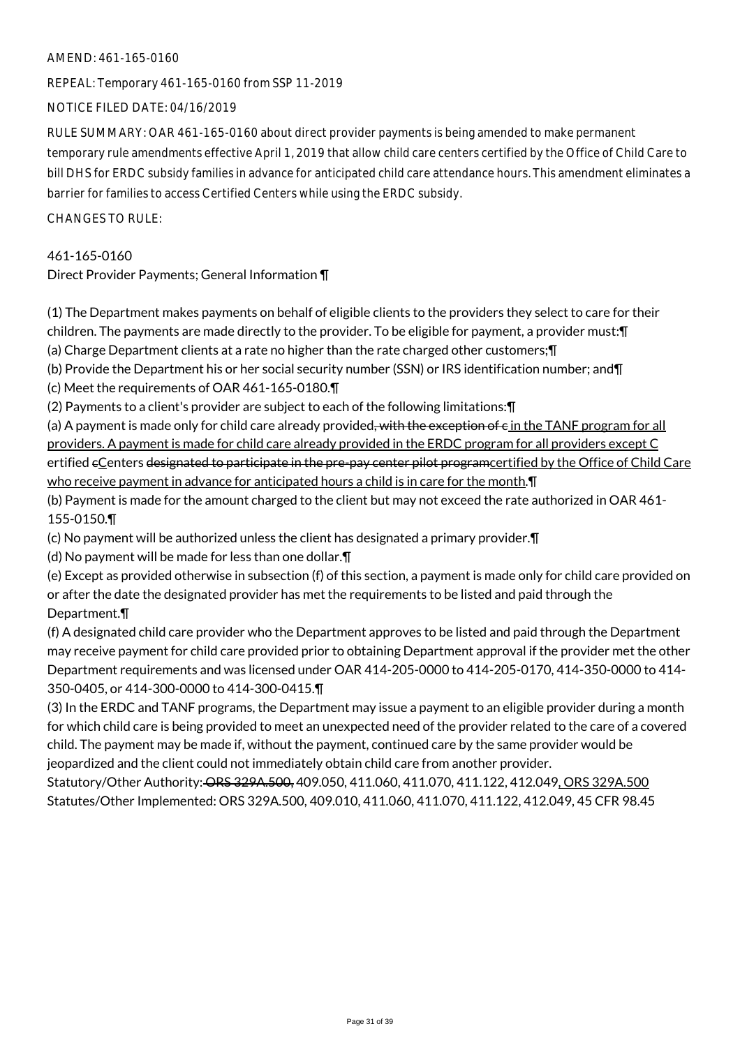### AMEND: 461-165-0160

REPEAL: Temporary 461-165-0160 from SSP 11-2019

NOTICE FILED DATE: 04/16/2019

RULE SUMMARY: OAR 461-165-0160 about direct provider payments is being amended to make permanent temporary rule amendments effective April 1, 2019 that allow child care centers certified by the Office of Child Care to bill DHS for ERDC subsidy families in advance for anticipated child care attendance hours. This amendment eliminates a barrier for families to access Certified Centers while using the ERDC subsidy.

CHANGES TO RULE:

### 461-165-0160

Direct Provider Payments; General Information ¶

(1) The Department makes payments on behalf of eligible clients to the providers they select to care for their children. The payments are made directly to the provider. To be eligible for payment, a provider must:¶

(a) Charge Department clients at a rate no higher than the rate charged other customers;¶

(b) Provide the Department his or her social security number (SSN) or IRS identification number; and¶

(c) Meet the requirements of OAR 461-165-0180.¶

(2) Payments to a client's provider are subject to each of the following limitations:¶

(a) A payment is made only for child care already provided, with the exception of  $\epsilon$  in the TANF program for all providers. A payment is made for child care already provided in the ERDC program for all providers except C ertified eCenters designated to participate in the pre-pay center pilot programcertified by the Office of Child Care who receive payment in advance for anticipated hours a child is in care for the month. **T** 

(b) Payment is made for the amount charged to the client but may not exceed the rate authorized in OAR 461- 155-0150.¶

(c) No payment will be authorized unless the client has designated a primary provider.¶

(d) No payment will be made for less than one dollar.¶

(e) Except as provided otherwise in subsection (f) of this section, a payment is made only for child care provided on or after the date the designated provider has met the requirements to be listed and paid through the Department.¶

(f) A designated child care provider who the Department approves to be listed and paid through the Department may receive payment for child care provided prior to obtaining Department approval if the provider met the other Department requirements and was licensed under OAR 414-205-0000 to 414-205-0170, 414-350-0000 to 414- 350-0405, or 414-300-0000 to 414-300-0415.¶

(3) In the ERDC and TANF programs, the Department may issue a payment to an eligible provider during a month for which child care is being provided to meet an unexpected need of the provider related to the care of a covered child. The payment may be made if, without the payment, continued care by the same provider would be jeopardized and the client could not immediately obtain child care from another provider.

Statutory/Other Authority: ORS 329A.500, 409.050, 411.060, 411.070, 411.122, 412.049, ORS 329A.500 Statutes/Other Implemented: ORS 329A.500, 409.010, 411.060, 411.070, 411.122, 412.049, 45 CFR 98.45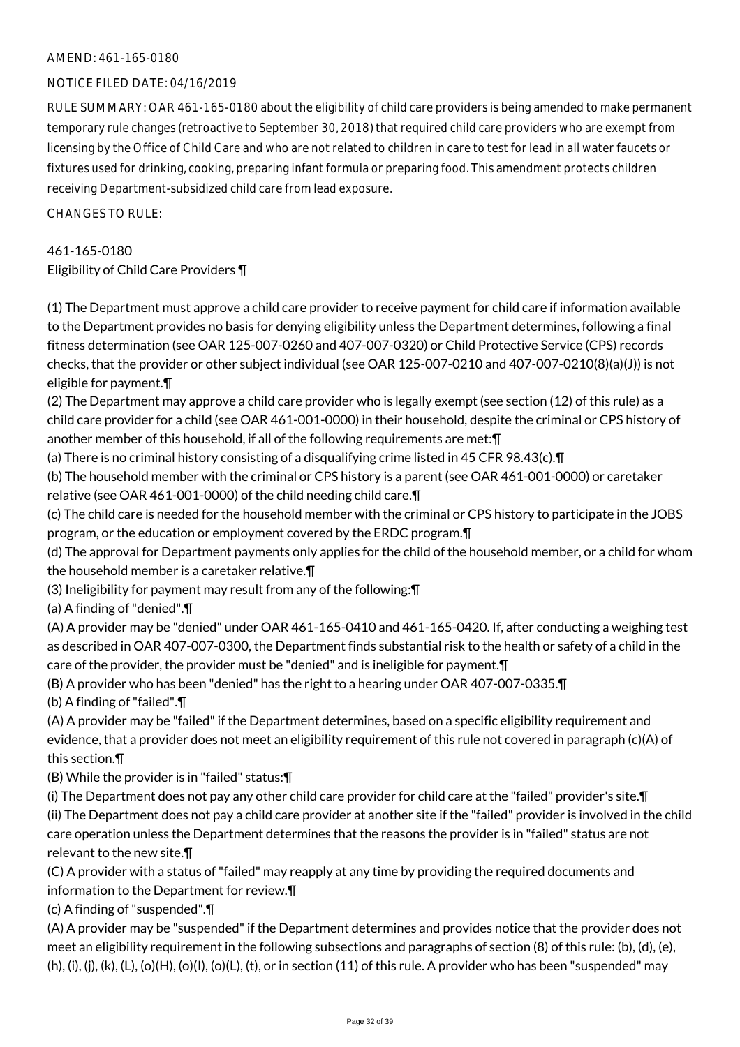### AMEND: 461-165-0180

### NOTICE FILED DATE: 04/16/2019

RULE SUMMARY: OAR 461-165-0180 about the eligibility of child care providers is being amended to make permanent temporary rule changes (retroactive to September 30, 2018) that required child care providers who are exempt from licensing by the Office of Child Care and who are not related to children in care to test for lead in all water faucets or fixtures used for drinking, cooking, preparing infant formula or preparing food. This amendment protects children receiving Department-subsidized child care from lead exposure.

 $CHANGESTORUIF$ 

### 461-165-0180 Eligibility of Child Care Providers ¶

(1) The Department must approve a child care provider to receive payment for child care if information available to the Department provides no basis for denying eligibility unless the Department determines, following a final fitness determination (see OAR 125-007-0260 and 407-007-0320) or Child Protective Service (CPS) records checks, that the provider or other subject individual (see OAR 125-007-0210 and 407-007-0210(8)(a)(J)) is not eligible for payment.¶

(2) The Department may approve a child care provider who is legally exempt (see section (12) of this rule) as a child care provider for a child (see OAR 461-001-0000) in their household, despite the criminal or CPS history of another member of this household, if all of the following requirements are met:¶

(a) There is no criminal history consisting of a disqualifying crime listed in 45 CFR 98.43(c).¶

(b) The household member with the criminal or CPS history is a parent (see OAR 461-001-0000) or caretaker relative (see OAR 461-001-0000) of the child needing child care.¶

(c) The child care is needed for the household member with the criminal or CPS history to participate in the JOBS program, or the education or employment covered by the ERDC program.¶

(d) The approval for Department payments only applies for the child of the household member, or a child for whom the household member is a caretaker relative.¶

(3) Ineligibility for payment may result from any of the following:¶

(a) A finding of "denied".¶

(A) A provider may be "denied" under OAR 461-165-0410 and 461-165-0420. If, after conducting a weighing test as described in OAR 407-007-0300, the Department finds substantial risk to the health or safety of a child in the care of the provider, the provider must be "denied" and is ineligible for payment.¶

(B) A provider who has been "denied" has the right to a hearing under OAR 407-007-0335.¶

(b) A finding of "failed".¶

(A) A provider may be "failed" if the Department determines, based on a specific eligibility requirement and evidence, that a provider does not meet an eligibility requirement of this rule not covered in paragraph (c)(A) of this section.¶

(B) While the provider is in "failed" status:¶

(i) The Department does not pay any other child care provider for child care at the "failed" provider's site.¶ (ii) The Department does not pay a child care provider at another site if the "failed" provider is involved in the child care operation unless the Department determines that the reasons the provider is in "failed" status are not relevant to the new site.¶

(C) A provider with a status of "failed" may reapply at any time by providing the required documents and information to the Department for review.¶

(c) A finding of "suspended".¶

(A) A provider may be "suspended" if the Department determines and provides notice that the provider does not meet an eligibility requirement in the following subsections and paragraphs of section (8) of this rule: (b), (d), (e), (h), (i), (j), (k), (L), (o)(H), (o)(I), (o)(L), (t), or in section (11) of this rule. A provider who has been "suspended" may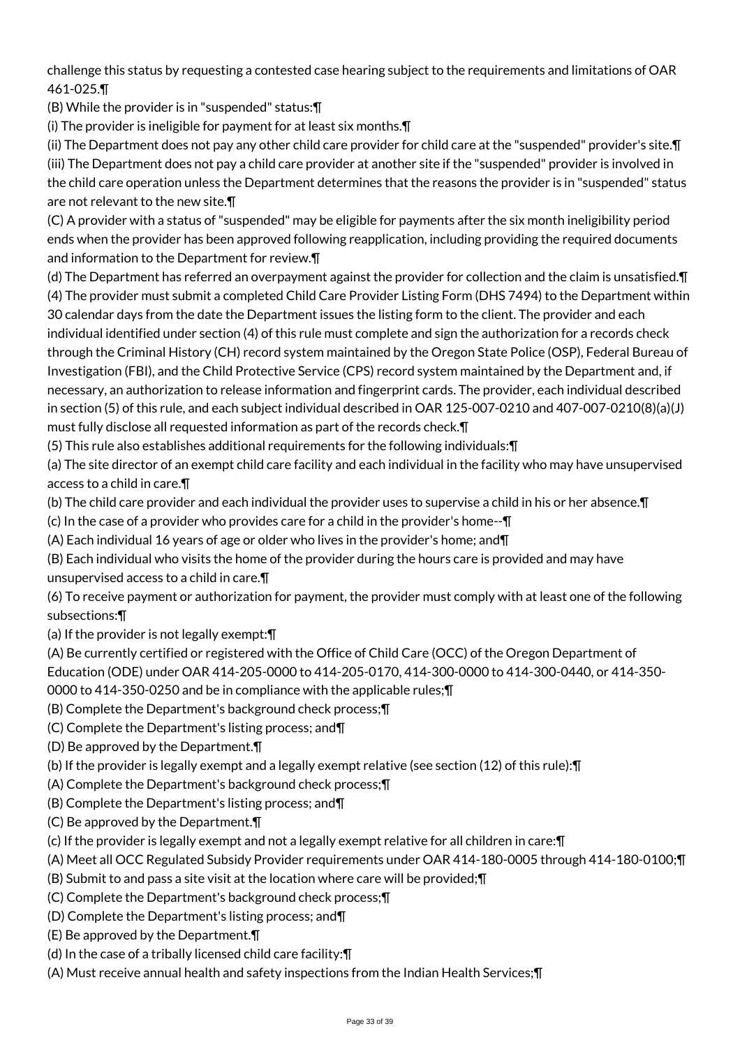challenge this status by requesting a contested case hearing subject to the requirements and limitations of OAR 461-025.¶

(B) While the provider is in "suspended" status:¶

(i) The provider is ineligible for payment for at least six months.¶

(ii) The Department does not pay any other child care provider for child care at the "suspended" provider's site.¶ (iii) The Department does not pay a child care provider at another site if the "suspended" provider is involved in the child care operation unless the Department determines that the reasons the provider is in "suspended" status are not relevant to the new site.¶

(C) A provider with a status of "suspended" may be eligible for payments after the six month ineligibility period ends when the provider has been approved following reapplication, including providing the required documents and information to the Department for review.¶

(d) The Department has referred an overpayment against the provider for collection and the claim is unsatisfied.¶ (4) The provider must submit a completed Child Care Provider Listing Form (DHS 7494) to the Department within 30 calendar days from the date the Department issues the listing form to the client. The provider and each individual identified under section (4) of this rule must complete and sign the authorization for a records check through the Criminal History (CH) record system maintained by the Oregon State Police (OSP), Federal Bureau of Investigation (FBI), and the Child Protective Service (CPS) record system maintained by the Department and, if necessary, an authorization to release information and fingerprint cards. The provider, each individual described in section (5) of this rule, and each subject individual described in OAR 125-007-0210 and 407-007-0210(8)(a)(J) must fully disclose all requested information as part of the records check.¶

(5) This rule also establishes additional requirements for the following individuals:¶

(a) The site director of an exempt child care facility and each individual in the facility who may have unsupervised access to a child in care.¶

(b) The child care provider and each individual the provider uses to supervise a child in his or her absence.¶

(c) In the case of a provider who provides care for a child in the provider's home--¶

(A) Each individual 16 years of age or older who lives in the provider's home; and¶

(B) Each individual who visits the home of the provider during the hours care is provided and may have unsupervised access to a child in care.¶

(6) To receive payment or authorization for payment, the provider must comply with at least one of the following subsections:¶

(a) If the provider is not legally exempt:¶

(A) Be currently certified or registered with the Office of Child Care (OCC) of the Oregon Department of

Education (ODE) under OAR 414-205-0000 to 414-205-0170, 414-300-0000 to 414-300-0440, or 414-350-

0000 to 414-350-0250 and be in compliance with the applicable rules;¶

(B) Complete the Department's background check process;¶

(C) Complete the Department's listing process; and¶

(D) Be approved by the Department.¶

(b) If the provider is legally exempt and a legally exempt relative (see section (12) of this rule):¶

(A) Complete the Department's background check process;¶

(B) Complete the Department's listing process; and¶

(C) Be approved by the Department.¶

(c) If the provider is legally exempt and not a legally exempt relative for all children in care:¶

(A) Meet all OCC Regulated Subsidy Provider requirements under OAR 414-180-0005 through 414-180-0100;¶

(B) Submit to and pass a site visit at the location where care will be provided;¶

(C) Complete the Department's background check process;¶

(D) Complete the Department's listing process; and¶

(E) Be approved by the Department.¶

(d) In the case of a tribally licensed child care facility:¶

(A) Must receive annual health and safety inspections from the Indian Health Services;¶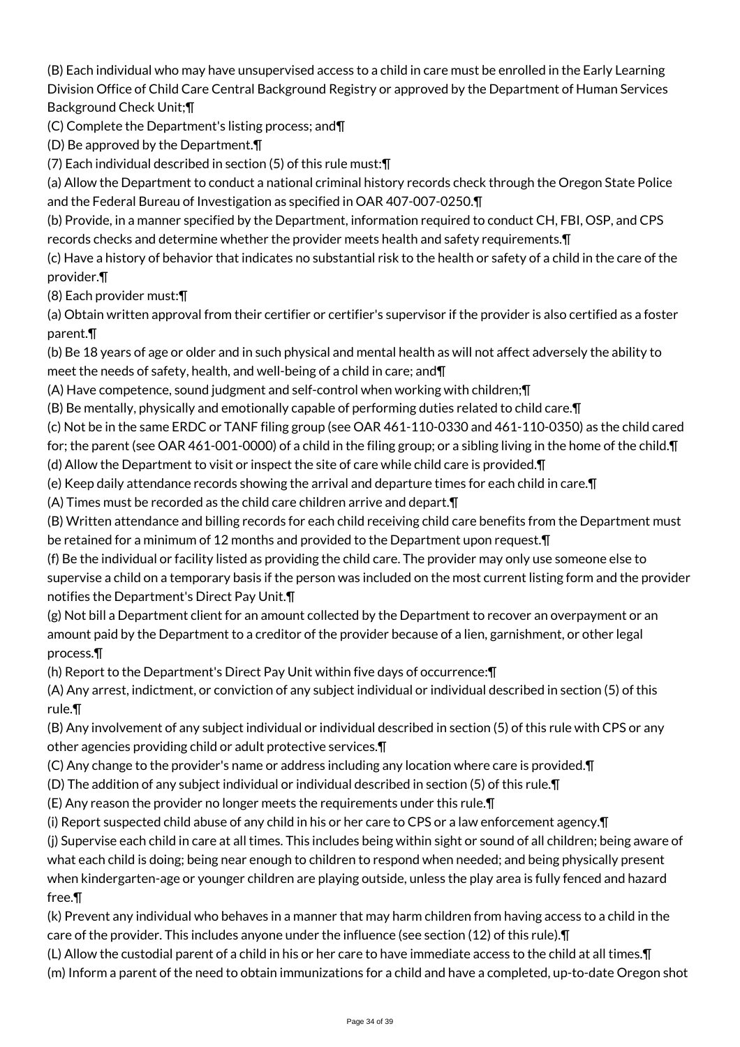(B) Each individual who may have unsupervised access to a child in care must be enrolled in the Early Learning Division Office of Child Care Central Background Registry or approved by the Department of Human Services Background Check Unit;¶

(C) Complete the Department's listing process; and¶

(D) Be approved by the Department.¶

(7) Each individual described in section (5) of this rule must:¶

(a) Allow the Department to conduct a national criminal history records check through the Oregon State Police and the Federal Bureau of Investigation as specified in OAR 407-007-0250.¶

(b) Provide, in a manner specified by the Department, information required to conduct CH, FBI, OSP, and CPS records checks and determine whether the provider meets health and safety requirements.¶

(c) Have a history of behavior that indicates no substantial risk to the health or safety of a child in the care of the provider.¶

(8) Each provider must:¶

(a) Obtain written approval from their certifier or certifier's supervisor if the provider is also certified as a foster parent.¶

(b) Be 18 years of age or older and in such physical and mental health as will not affect adversely the ability to meet the needs of safety, health, and well-being of a child in care; and¶

(A) Have competence, sound judgment and self-control when working with children;¶

(B) Be mentally, physically and emotionally capable of performing duties related to child care.¶

(c) Not be in the same ERDC or TANF filing group (see OAR 461-110-0330 and 461-110-0350) as the child cared

for; the parent (see OAR 461-001-0000) of a child in the filing group; or a sibling living in the home of the child.¶

(d) Allow the Department to visit or inspect the site of care while child care is provided.¶

(e) Keep daily attendance records showing the arrival and departure times for each child in care.¶

(A) Times must be recorded as the child care children arrive and depart.¶

(B) Written attendance and billing records for each child receiving child care benefits from the Department must be retained for a minimum of 12 months and provided to the Department upon request.¶

(f) Be the individual or facility listed as providing the child care. The provider may only use someone else to supervise a child on a temporary basis if the person was included on the most current listing form and the provider notifies the Department's Direct Pay Unit.¶

(g) Not bill a Department client for an amount collected by the Department to recover an overpayment or an amount paid by the Department to a creditor of the provider because of a lien, garnishment, or other legal process.¶

(h) Report to the Department's Direct Pay Unit within five days of occurrence:¶

(A) Any arrest, indictment, or conviction of any subject individual or individual described in section (5) of this rule.¶

(B) Any involvement of any subject individual or individual described in section (5) of this rule with CPS or any other agencies providing child or adult protective services.¶

(C) Any change to the provider's name or address including any location where care is provided.¶

(D) The addition of any subject individual or individual described in section (5) of this rule.¶

(E) Any reason the provider no longer meets the requirements under this rule.¶

(i) Report suspected child abuse of any child in his or her care to CPS or a law enforcement agency.¶

(j) Supervise each child in care at all times. This includes being within sight or sound of all children; being aware of what each child is doing; being near enough to children to respond when needed; and being physically present when kindergarten-age or younger children are playing outside, unless the play area is fully fenced and hazard free.¶

(k) Prevent any individual who behaves in a manner that may harm children from having access to a child in the care of the provider. This includes anyone under the influence (see section (12) of this rule).¶

(L) Allow the custodial parent of a child in his or her care to have immediate access to the child at all times.¶ (m) Inform a parent of the need to obtain immunizations for a child and have a completed, up-to-date Oregon shot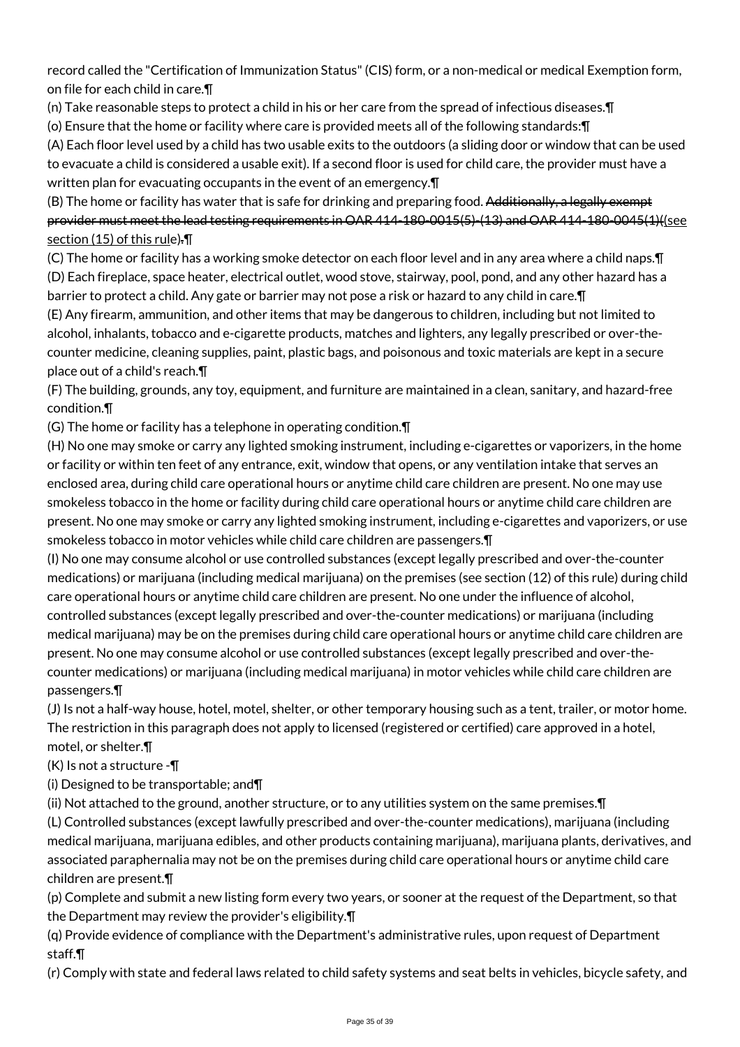record called the "Certification of Immunization Status" (CIS) form, or a non-medical or medical Exemption form, on file for each child in care.¶

(n) Take reasonable steps to protect a child in his or her care from the spread of infectious diseases.¶

(o) Ensure that the home or facility where care is provided meets all of the following standards:¶

(A) Each floor level used by a child has two usable exits to the outdoors (a sliding door or window that can be used to evacuate a child is considered a usable exit). If a second floor is used for child care, the provider must have a written plan for evacuating occupants in the event of an emergency.¶

(B) The home or facility has water that is safe for drinking and preparing food. Additionally, a legally exempt provider must meet the lead testing requirements in OAR 414-180-0015(5)-(13) and OAR 414-180-0045(1)((see section (15) of this rule).¶

(C) The home or facility has a working smoke detector on each floor level and in any area where a child naps.¶ (D) Each fireplace, space heater, electrical outlet, wood stove, stairway, pool, pond, and any other hazard has a barrier to protect a child. Any gate or barrier may not pose a risk or hazard to any child in care.¶

(E) Any firearm, ammunition, and other items that may be dangerous to children, including but not limited to alcohol, inhalants, tobacco and e-cigarette products, matches and lighters, any legally prescribed or over-thecounter medicine, cleaning supplies, paint, plastic bags, and poisonous and toxic materials are kept in a secure place out of a child's reach.¶

(F) The building, grounds, any toy, equipment, and furniture are maintained in a clean, sanitary, and hazard-free condition.¶

(G) The home or facility has a telephone in operating condition.¶

(H) No one may smoke or carry any lighted smoking instrument, including e-cigarettes or vaporizers, in the home or facility or within ten feet of any entrance, exit, window that opens, or any ventilation intake that serves an enclosed area, during child care operational hours or anytime child care children are present. No one may use smokeless tobacco in the home or facility during child care operational hours or anytime child care children are present. No one may smoke or carry any lighted smoking instrument, including e-cigarettes and vaporizers, or use smokeless tobacco in motor vehicles while child care children are passengers.¶

(I) No one may consume alcohol or use controlled substances (except legally prescribed and over-the-counter medications) or marijuana (including medical marijuana) on the premises (see section (12) of this rule) during child care operational hours or anytime child care children are present. No one under the influence of alcohol, controlled substances (except legally prescribed and over-the-counter medications) or marijuana (including medical marijuana) may be on the premises during child care operational hours or anytime child care children are present. No one may consume alcohol or use controlled substances (except legally prescribed and over-thecounter medications) or marijuana (including medical marijuana) in motor vehicles while child care children are passengers.¶

(J) Is not a half-way house, hotel, motel, shelter, or other temporary housing such as a tent, trailer, or motor home. The restriction in this paragraph does not apply to licensed (registered or certified) care approved in a hotel, motel, or shelter.¶

(K) Is not a structure -¶

(i) Designed to be transportable; and¶

(ii) Not attached to the ground, another structure, or to any utilities system on the same premises.¶

(L) Controlled substances (except lawfully prescribed and over-the-counter medications), marijuana (including medical marijuana, marijuana edibles, and other products containing marijuana), marijuana plants, derivatives, and associated paraphernalia may not be on the premises during child care operational hours or anytime child care children are present.¶

(p) Complete and submit a new listing form every two years, or sooner at the request of the Department, so that the Department may review the provider's eligibility.¶

(q) Provide evidence of compliance with the Department's administrative rules, upon request of Department staff.¶

(r) Comply with state and federal laws related to child safety systems and seat belts in vehicles, bicycle safety, and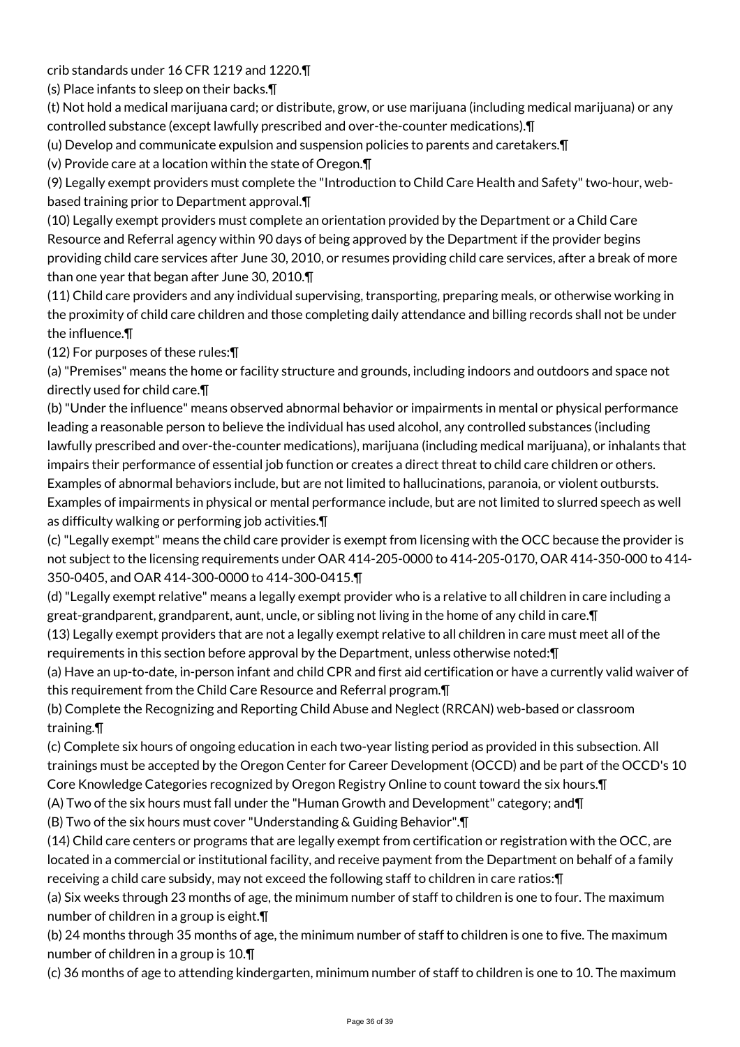crib standards under 16 CFR 1219 and 1220.¶

(s) Place infants to sleep on their backs.¶

(t) Not hold a medical marijuana card; or distribute, grow, or use marijuana (including medical marijuana) or any controlled substance (except lawfully prescribed and over-the-counter medications).¶

(u) Develop and communicate expulsion and suspension policies to parents and caretakers.¶

(v) Provide care at a location within the state of Oregon.¶

(9) Legally exempt providers must complete the "Introduction to Child Care Health and Safety" two-hour, webbased training prior to Department approval.¶

(10) Legally exempt providers must complete an orientation provided by the Department or a Child Care Resource and Referral agency within 90 days of being approved by the Department if the provider begins providing child care services after June 30, 2010, or resumes providing child care services, after a break of more than one year that began after June 30, 2010.¶

(11) Child care providers and any individual supervising, transporting, preparing meals, or otherwise working in the proximity of child care children and those completing daily attendance and billing records shall not be under the influence.¶

(12) For purposes of these rules:¶

(a) "Premises" means the home or facility structure and grounds, including indoors and outdoors and space not directly used for child care.¶

(b) "Under the influence" means observed abnormal behavior or impairments in mental or physical performance leading a reasonable person to believe the individual has used alcohol, any controlled substances (including lawfully prescribed and over-the-counter medications), marijuana (including medical marijuana), or inhalants that impairs their performance of essential job function or creates a direct threat to child care children or others. Examples of abnormal behaviors include, but are not limited to hallucinations, paranoia, or violent outbursts. Examples of impairments in physical or mental performance include, but are not limited to slurred speech as well as difficulty walking or performing job activities.¶

(c) "Legally exempt" means the child care provider is exempt from licensing with the OCC because the provider is not subject to the licensing requirements under OAR 414-205-0000 to 414-205-0170, OAR 414-350-000 to 414- 350-0405, and OAR 414-300-0000 to 414-300-0415.¶

(d) "Legally exempt relative" means a legally exempt provider who is a relative to all children in care including a great-grandparent, grandparent, aunt, uncle, or sibling not living in the home of any child in care.¶

(13) Legally exempt providers that are not a legally exempt relative to all children in care must meet all of the requirements in this section before approval by the Department, unless otherwise noted:¶

(a) Have an up-to-date, in-person infant and child CPR and first aid certification or have a currently valid waiver of this requirement from the Child Care Resource and Referral program.¶

(b) Complete the Recognizing and Reporting Child Abuse and Neglect (RRCAN) web-based or classroom training.¶

(c) Complete six hours of ongoing education in each two-year listing period as provided in this subsection. All trainings must be accepted by the Oregon Center for Career Development (OCCD) and be part of the OCCD's 10 Core Knowledge Categories recognized by Oregon Registry Online to count toward the six hours.¶

(A) Two of the six hours must fall under the "Human Growth and Development" category; and¶

(B) Two of the six hours must cover "Understanding & Guiding Behavior".¶

(14) Child care centers or programs that are legally exempt from certification or registration with the OCC, are located in a commercial or institutional facility, and receive payment from the Department on behalf of a family receiving a child care subsidy, may not exceed the following staff to children in care ratios:¶

(a) Six weeks through 23 months of age, the minimum number of staff to children is one to four. The maximum number of children in a group is eight.¶

(b) 24 months through 35 months of age, the minimum number of staff to children is one to five. The maximum number of children in a group is 10.¶

(c) 36 months of age to attending kindergarten, minimum number of staff to children is one to 10. The maximum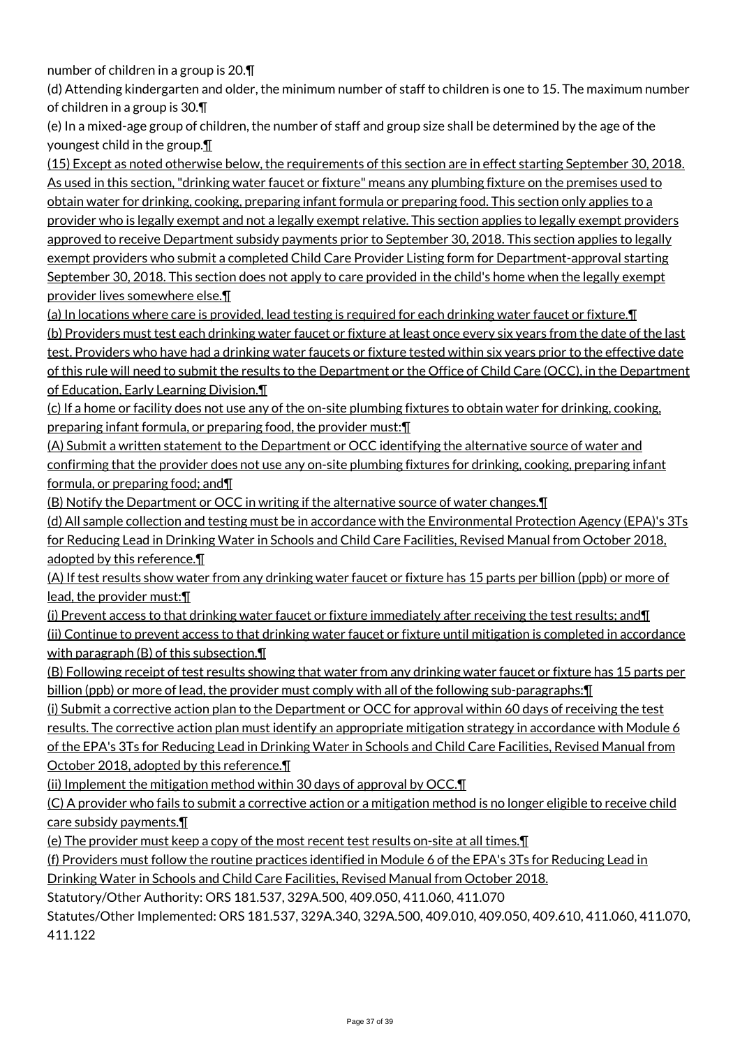number of children in a group is 20.¶

(d) Attending kindergarten and older, the minimum number of staff to children is one to 15. The maximum number of children in a group is 30.¶

(e) In a mixed-age group of children, the number of staff and group size shall be determined by the age of the youngest child in the group.¶

(15) Except as noted otherwise below, the requirements of this section are in effect starting September 30, 2018. As used in this section, "drinking water faucet or fixture" means any plumbing fixture on the premises used to obtain water for drinking, cooking, preparing infant formula or preparing food. This section only applies to a provider who is legally exempt and not a legally exempt relative. This section applies to legally exempt providers approved to receive Department subsidy payments prior to September 30, 2018. This section applies to legally exempt providers who submit a completed Child Care Provider Listing form for Department-approval starting September 30, 2018. This section does not apply to care provided in the child's home when the legally exempt provider lives somewhere else.¶

(a) In locations where care is provided, lead testing is required for each drinking water faucet or fixture.¶ (b) Providers must test each drinking water faucet or fixture at least once every six years from the date of the last test. Providers who have had a drinking water faucets or fixture tested within six years prior to the effective date of this rule will need to submit the results to the Department or the Office of Child Care (OCC), in the Department of Education, Early Learning Division.¶

(c) If a home or facility does not use any of the on-site plumbing fixtures to obtain water for drinking, cooking, preparing infant formula, or preparing food, the provider must: \[

(A) Submit a written statement to the Department or OCC identifying the alternative source of water and confirming that the provider does not use any on-site plumbing fixtures for drinking, cooking, preparing infant formula, or preparing food; and¶

(B) Notify the Department or OCC in writing if the alternative source of water changes.¶

(d) All sample collection and testing must be in accordance with the Environmental Protection Agency (EPA)'s 3Ts for Reducing Lead in Drinking Water in Schools and Child Care Facilities, Revised Manual from October 2018, adopted by this reference.¶

(A) If test results show water from any drinking water faucet or fixture has 15 parts per billion (ppb) or more of lead, the provider must:¶

(i) Prevent access to that drinking water faucet or fixture immediately after receiving the test results; and¶ (ii) Continue to prevent access to that drinking water faucet or fixture until mitigation is completed in accordance with paragraph (B) of this subsection.¶

(B) Following receipt of test results showing that water from any drinking water faucet or fixture has 15 parts per billion (ppb) or more of lead, the provider must comply with all of the following sub-paragraphs:¶

(i) Submit a corrective action plan to the Department or OCC for approval within 60 days of receiving the test results. The corrective action plan must identify an appropriate mitigation strategy in accordance with Module 6 of the EPA's 3Ts for Reducing Lead in Drinking Water in Schools and Child Care Facilities, Revised Manual from October 2018, adopted by this reference.¶

(ii) Implement the mitigation method within 30 days of approval by OCC.¶

(C) A provider who fails to submit a corrective action or a mitigation method is no longer eligible to receive child care subsidy payments.¶

(e) The provider must keep a copy of the most recent test results on-site at all times.¶

(f) Providers must follow the routine practices identified in Module 6 of the EPA's 3Ts for Reducing Lead in Drinking Water in Schools and Child Care Facilities, Revised Manual from October 2018.

Statutory/Other Authority: ORS 181.537, 329A.500, 409.050, 411.060, 411.070

Statutes/Other Implemented: ORS 181.537, 329A.340, 329A.500, 409.010, 409.050, 409.610, 411.060, 411.070, 411.122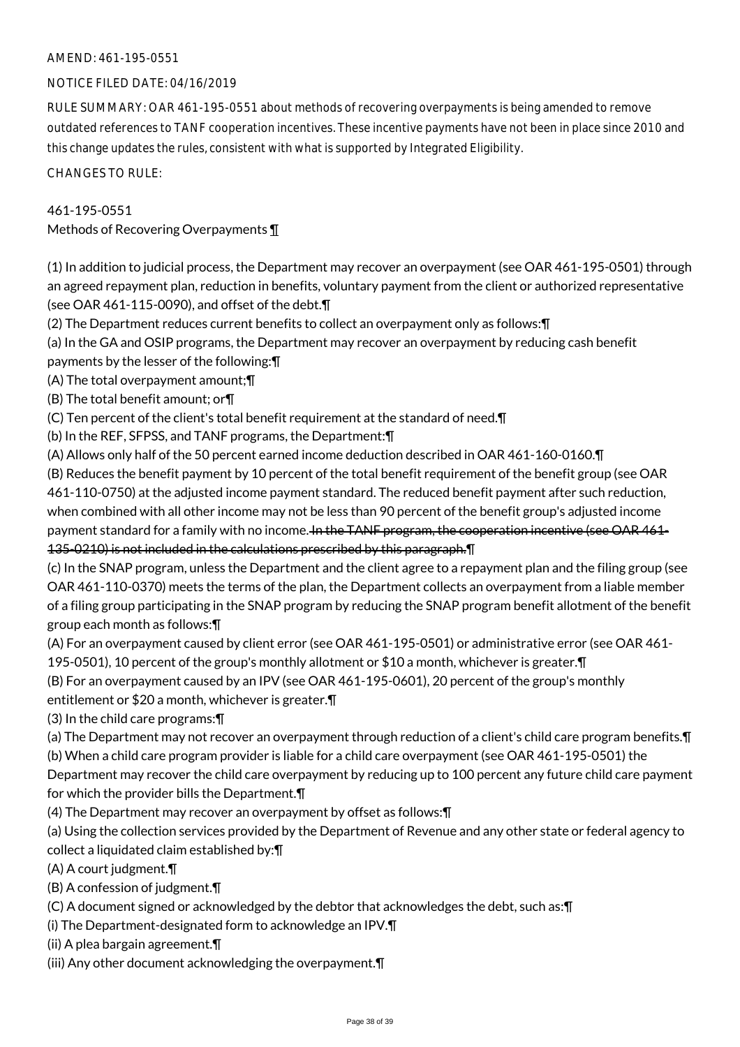### AMEND: 461-195-0551

### NOTICE FILED DATE: 04/16/2019

RULE SUMMARY: OAR 461-195-0551 about methods of recovering overpayments is being amended to remove outdated references to TANF cooperation incentives. These incentive payments have not been in place since 2010 and this change updates the rules, consistent with what is supported by Integrated Eligibility.

CHANGES TO RULE:

### 461-195-0551

Methods of Recovering Overpayments ¶

(1) In addition to judicial process, the Department may recover an overpayment (see OAR 461-195-0501) through an agreed repayment plan, reduction in benefits, voluntary payment from the client or authorized representative (see OAR 461-115-0090), and offset of the debt.¶

(2) The Department reduces current benefits to collect an overpayment only as follows:¶

(a) In the GA and OSIP programs, the Department may recover an overpayment by reducing cash benefit payments by the lesser of the following:¶

(A) The total overpayment amount;¶

(B) The total benefit amount; or¶

(C) Ten percent of the client's total benefit requirement at the standard of need.¶

(b) In the REF, SFPSS, and TANF programs, the Department:¶

(A) Allows only half of the 50 percent earned income deduction described in OAR 461-160-0160.¶

(B) Reduces the benefit payment by 10 percent of the total benefit requirement of the benefit group (see OAR 461-110-0750) at the adjusted income payment standard. The reduced benefit payment after such reduction, when combined with all other income may not be less than 90 percent of the benefit group's adjusted income payment standard for a family with no income. In the TANF program, the cooperation incentive (see OAR 461-135-0210) is not included in the calculations prescribed by this paragraph.¶

(c) In the SNAP program, unless the Department and the client agree to a repayment plan and the filing group (see OAR 461-110-0370) meets the terms of the plan, the Department collects an overpayment from a liable member of a filing group participating in the SNAP program by reducing the SNAP program benefit allotment of the benefit group each month as follows:¶

(A) For an overpayment caused by client error (see OAR 461-195-0501) or administrative error (see OAR 461-

195-0501), 10 percent of the group's monthly allotment or \$10 a month, whichever is greater.¶ (B) For an overpayment caused by an IPV (see OAR 461-195-0601), 20 percent of the group's monthly

entitlement or \$20 a month, whichever is greater.¶

(3) In the child care programs:¶

(a) The Department may not recover an overpayment through reduction of a client's child care program benefits.¶

(b) When a child care program provider is liable for a child care overpayment (see OAR 461-195-0501) the

Department may recover the child care overpayment by reducing up to 100 percent any future child care payment for which the provider bills the Department.¶

(4) The Department may recover an overpayment by offset as follows:¶

(a) Using the collection services provided by the Department of Revenue and any other state or federal agency to collect a liquidated claim established by:¶

(A) A court judgment.¶

(B) A confession of judgment.¶

(C) A document signed or acknowledged by the debtor that acknowledges the debt, such as:¶

(i) The Department-designated form to acknowledge an IPV.¶

(ii) A plea bargain agreement.¶

(iii) Any other document acknowledging the overpayment.¶